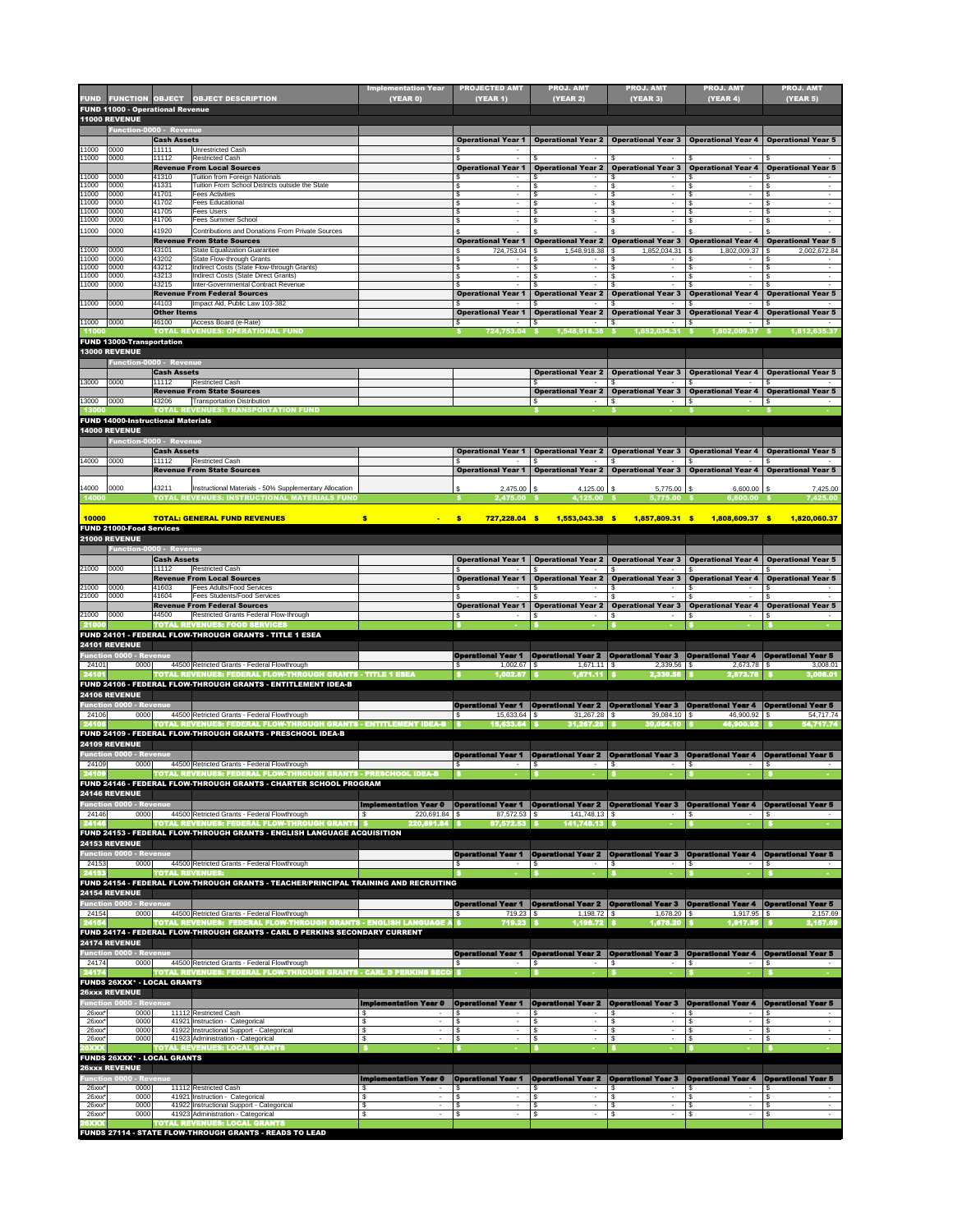| <b>FUND 11000 - Operational Revenue</b><br><b>11000 REVENUE</b><br>Function-0000 - Revenue<br><b>Cash Assets</b><br><b>Operational Year 1</b><br><b>Operational Year 2</b><br><b>Operational Year 3</b><br><b>Operational Year 4</b><br><b>Operational Year 5</b><br><b>Unrestricted Cash</b><br>0000<br>11111<br>0000<br>11112<br><b>Restricted Cash</b><br>11000<br><b>Operational Year 3</b><br><b>Operational Year 4</b><br><b>Operational Year 5</b><br><b>Revenue From Local Sources</b><br><b>Operational Year 2</b><br><b>Operational Year 1</b><br>11000<br>0000<br>41310<br><b>Tuition from Foreign Nationals</b><br>- \$<br>$\sim$<br>Tuition From School Districts outside the State<br>41331<br>0000<br>\$<br>\$.<br>$\blacksquare$<br>$\sim$<br>$\sim$<br>$\overline{\phantom{a}}$<br>$\blacksquare$<br>0000<br>41701<br><b>Fees Activities</b><br>11000<br>\$<br>$\sim$<br>$\sim$<br>٠<br>٠<br>0000<br>41702<br><b>Fees Educational</b><br>\$<br>$\sim$<br>0000<br>41705<br>Fees Users<br>11000<br>\$<br>$\sim$<br>$\sim$<br>0000<br>41706<br>Fees Summer School<br>\$<br>\$.<br>- \$<br>$\sim$<br>0000<br>41920<br>Contributions and Donations From Private Sources<br>11000<br><b>Operational Year 2</b><br><b>Operational Year 3</b><br><b>Operational Year 4</b><br><b>Revenue From State Sources</b><br><b>Operational Year 1</b><br><b>Operational Year 5</b><br><b>State Equalization Guarantee</b><br>0000<br>43101<br>724,753.04<br>1,548,918.38<br>1,852,034.31<br>1,802,009.37<br>2,002,672.84<br>- \$<br><b>State Flow-through Grants</b><br>0000<br>43202<br>\$<br>\$<br>- \$<br>43212<br>Indirect Costs (State Flow-through Grants)<br>0000<br>\$<br>\$<br>0000<br><b>Indirect Costs (State Direct Grants)</b><br>43213<br>\$<br>$\sim$<br>Inter-Governmental Contract Revenue<br>0000<br>43215<br><b>Operational Year 3</b><br><b>Revenue From Federal Sources</b><br><b>Operational Year 1</b><br><b>Operational Year 2</b><br><b>Operational Year 4</b><br><b>Operational Year 5</b><br>Impact Aid, Public Law 103-382<br>44103<br>0000<br><b>Other Items</b><br><b>Operational Year 1</b><br><b>Operational Year 2</b><br><b>Operational Year 3</b><br><b>Operational Year 4</b><br><b>Operational Year 5</b><br>Access Board (e-Rate)<br> 0000 <br>46100<br><b>TOTAL REVENUES: OPERATIONAL FUND</b><br>1,548,918.38 \$<br>1,852,034.31 \$<br>1,802,009.37 \$<br>724,753.04<br>$\mathbf{s}$<br>1,812,635.37<br>11000<br><b>FUND 13000-Transportation</b><br><b>13000 REVENUE</b><br><b>Function-0000 - Revenue</b><br><b>Cash Assets</b><br><b>Operational Year 2</b><br><b>Operational Year 3</b><br><b>Operational Year 4</b><br><b>Operational Year 5</b><br><b>Restricted Cash</b><br>13000<br> 0000 <br>11112<br><b>Revenue From State Sources</b><br><b>Operational Year 3</b><br><b>Operational Year 4</b><br><b>Operational Year 5</b><br><b>Operational Year 2</b><br>13000<br>0000<br>43206<br><b>Transportation Distribution</b><br>\$<br>$\sim$<br><b>TOTAL REVENUES: TRANSPORTATION FUND</b><br>13000<br><b>FUND 14000-Instructional Materials</b><br><b>14000 REVENUE</b><br><b>Function-0000 - Revenue</b><br><b>Cash Assets</b><br><b>Operational Year 1</b><br><b>Operational Year 2</b><br><b>Operational Year 3</b><br><b>Operational Year 4</b><br><b>Operational Year 5</b><br>0000<br>11112<br><b>Restricted Cash</b><br><b>Revenue From State Sources</b><br><b>Operational Year 1</b><br><b>Operational Year 2   Operational Year 3</b><br><b>Operational Year 4</b><br><b>Operational Year 5</b><br>0000<br>43211<br>Instructional Materials - 50% Supplementary Allocation<br>5,775.00 \$<br>$6,600.00$ \$<br>$2,475.00$ \$<br>$4,125.00$ \$<br>7,425.00<br><b>TOTAL REVENUES: INSTRUCTIONAL MATERIALS FUND</b><br>4,125.00 \$<br>14000<br>2,475.00<br>5,775.00<br>6,600.00<br>7,425.00<br><b>10000</b><br><b>TOTAL: GENERAL FUND REVENUES</b><br>$\frac{1}{2}$<br>$\cdot$<br>727,228.04 \$<br>1,553,043.38 \$<br>1,857,809.31 \$<br>1,808,609.37 \$<br>1,820,060.37<br>$\sim$<br><b>FUND 21000-Food Services</b><br><b>21000 REVENUE</b><br>Function-0000 - Revenue<br><b>Cash Assets</b><br><b>Operational Year 1</b><br><b>Operational Year 2</b><br><b>Operational Year 3</b><br><b>Operational Year 4</b><br><b>Operational Year 5</b><br>21000<br>0000<br>11112<br><b>Restricted Cash</b><br><b>Revenue From Local Sources</b><br><b>Operational Year 1</b><br><b>Operational Year 3</b><br><b>Operational Year 4</b><br><b>Operational Year 5</b><br><b>Operational Year 2</b><br>21000<br>0000<br>41603<br><b>Fees Adults/Food Services</b><br>0000<br>41604<br><b>Fees Students/Food Services</b><br><b>Operational Year 3</b><br><b>Revenue From Federal Sources</b><br><b>Operational Year 1</b><br><b>Operational Year 2</b><br><b>Operational Year 4</b><br><b>Operational Year 5</b><br>0000<br>Restricted Grants Federal Flow-through<br>44500<br><b>TOTAL REVENUES: FOOD SERVICES</b><br>21000<br>FUND 24101 - FEDERAL FLOW-THROUGH GRANTS - TITLE 1 ESEA<br><b>24101 REVENUE</b><br><b>Operational Year 2   Operational Year 3   Operational Year 4   Operational Year 5</b><br><b>Function 0000 - Revenue</b><br><b>Operational Year 1</b><br>44500 Retricted Grants - Federal Flowthrough<br>0000<br>$1,671.11$ \$<br>2,339.56<br>l \$<br>$2,673.78$ \\$<br>3,008.01<br>24101<br><b>TOTAL REVENUES: FEDERAL FLOW-THROUGH GRANTS - TITLE 1 ESEA</b><br>3,008.01<br>24101<br>1,002.67<br>1,671.11<br>2,339.56<br>2,673.78<br>FUND 24106 - FEDERAL FLOW-THROUGH GRANTS - ENTITLEMENT IDEA-B<br><b>24106 REVENUE</b><br><b>Operational Year 2   Operational Year 3   Operational Year 4   Operational Year 5</b><br><b>Function 0000 - Revenue</b><br><b>Operational Year 1</b><br>0000<br>44500 Retricted Grants - Federal Flowthrough<br>$39,084.10$ \$<br>54,717.74<br>24106<br>TOTAL REVENUES: FEDERAL FLOW-THROUGH GRANTS - ENTITLEMENT IDEA-B<br>24106<br>31,267.28<br>54,717.74<br>15,633.64<br>39,084.10<br>46,900.92<br>FUND 24109 - FEDERAL FLOW-THROUGH GRANTS - PRESCHOOL IDEA-B<br><b>24109 REVENUE</b><br><b>Function 0000 - Revenue</b><br><b>Operational Year 2 Operational Year 3 Operational Year 4 Operational Year 5</b><br><b>Operational Year 1</b><br>0000<br>44500 Retricted Grants - Federal Flowthrough<br>24109<br><b>TOTAL REVENUES: FEDERAL FLOW-THROUGH GRANTS - PRESCHOOL IDEA-B</b><br>24109<br>FUND 24146 - FEDERAL FLOW-THROUGH GRANTS - CHARTER SCHOOL PROGRAM<br><b>24146 REVENUE</b><br><b>Function 0000 - Revenue</b><br><b>Implementation Year 0</b><br><b>Operational Year 1</b><br><b>Operational Year 2 Operational Year 3</b><br><b>Operational Year 4</b><br><b>Operational Year 5</b><br>0000<br>$220,691.84$ \\$<br>$87,572.53$ \$<br>$141,748.13$ \$<br>44500 Retricted Grants - Federal Flowthrough<br>24146<br><b>TOTAL REVENUES: FEDERAL FLOW-THROUGH GRANTS \$</b><br>220,691.84<br>141,748.13<br>24146<br>87,572.53<br>ΙSΙ<br>FUND 24153 - FEDERAL FLOW-THROUGH GRANTS - ENGLISH LANGUAGE ACQUISITION<br><b>24153 REVENUE</b><br><b>Operational Year 3</b><br><b>Function 0000 - Revenue</b><br><b>Operational Year 2</b><br><b>Operational Year 4</b><br><b>Operational Year 1</b><br><b>Operational Year 5</b><br>0000<br>24153<br>44500 Retricted Grants - Federal Flowthrough<br><b>TOTAL REVENUES:</b><br>24153<br>FUND 24154 - FEDERAL FLOW-THROUGH GRANTS - TEACHER/PRINCIPAL TRAINING AND RECRUITING<br><b>24154 REVENUE</b><br><b>Function 0000 - Revenue</b><br><b>Operational Year 3</b><br><b>Operational Year 1</b><br><b>Operational Year 2</b><br><b>Operational Year 4 Operational Year 5</b><br>0000<br>44500 Retricted Grants - Federal Flowthrough<br>$1,198.72$ \$<br>$1,678.20$ \$<br>24154<br>$1,917.95$ \$<br>2,157.69<br>TOTAL REVENUES: FEDERAL FLOW-THROUGH GRANTS - ENGLISH LANGUAGE<br>24154<br>719.23<br>1,198.72<br>1,678.20<br>1,917.95<br>2,157.69<br>FUND 24174 - FEDERAL FLOW-THROUGH GRANTS - CARL D PERKINS SECONDARY CURRENT<br>24174 REVENUE<br><b>Function 0000 - Revenue</b><br><b>Operational Year 2</b><br><b>Operational Year 3</b><br><b>Operational Year 1</b><br><b>Operational Year 4</b><br><b>Operational Year 5</b><br>0000<br>44500 Retricted Grants - Federal Flowthrough<br>24174<br><b>TOTAL REVENUES: FEDERAL FLOW-THROUGH GRANTS - CARL D PERKINS SECO</b><br>24174<br><b>FUNDS 26XXX* - LOCAL GRANTS</b><br><b>26xxx REVENUE</b><br><b>Function 0000 - Revenue</b><br><b>Operational Year 1</b><br><b>Operational Year 2</b><br><b>Operational Year 3</b><br><b>Operational Year 4</b><br><b>Operational Year 5</b><br><b>Implementation Year 0</b><br>0000<br>11112 Restricted Cash<br>-\$<br>ß.<br>$26$ xxx $*$<br>- \$<br>$\sim$<br>$26$ xx $x$ <sup>*</sup><br>0000<br>\$<br>41921 Instruction - Categorical<br>-\$<br>\$<br>-\$<br>41922 Instructional Support - Categorical<br>$26$ xx $x$ <sup>*</sup><br>0000<br>\$<br>-\$<br>- \$<br>41923 Administration - Categorical<br>0000<br>$26$ xx $x$<br>\$<br>\$<br>- \$<br><b>TOTAL REVENUES: LOCAL GRANTS</b><br><b>26XXX</b><br><b>FUNDS 26XXX* - LOCAL GRANTS</b><br><b>26xxx REVENUE</b><br><b>Implementation Year 0</b><br><b>Operational Year 1</b><br><b>Operational Year 2 Operational Year 3</b><br><b>Operational Year 4</b><br><b>Operational Year 5</b><br><b>Function 0000 - Revenue</b><br>$26$ xx $x^*$<br>11112 Restricted Cash<br>$\bullet$<br>0000<br>\$<br>\$<br>จ<br>$\mathfrak{p}$<br>$\Phi$<br>$\overline{\boldsymbol{\mathfrak{s}}}$<br>$\overline{\mathbf{e}}$<br>$\overline{\boldsymbol{\theta}}$<br>$26$ xx $x^*$<br>0000<br>41921 Instruction - Categorical<br>\$<br>\$<br>$\sim$<br>$\sim$<br>0000<br>41922 Instructional Support - Categorical<br>$26$ xx $x$ <sup>*</sup><br>\$<br>\$<br>\$<br>\$<br>\$<br>$\sim$<br>$\sim$<br>0000<br>41923 Administration - Categorical<br>$\bullet$<br>\$<br>\$<br>\$<br>\$<br>\$<br>$26$ xxx $*$<br>$\sim$<br>$\sim$<br>$\overline{\phantom{a}}$<br><b>TOTAL REVENUES: LOCAL GRANTS</b> | <b>FUND</b>    | <b>FUNCTION OBJECT</b> | <b>OBJECT DESCRIPTION</b> | <b>Implementation Year</b><br>(YEAR 0) | <b>PROJECTED AMT</b><br>(YEAR 1) | <b>PROJ. AMT</b><br><b>(YEAR 2)</b> | <b>PROJ. AMT</b><br><b>(YEAR 3)</b> | <b>PROJ. AMT</b><br><b>(YEAR 4)</b> | <b>PROJ. AMT</b><br>(YEAR 5) |
|------------------------------------------------------------------------------------------------------------------------------------------------------------------------------------------------------------------------------------------------------------------------------------------------------------------------------------------------------------------------------------------------------------------------------------------------------------------------------------------------------------------------------------------------------------------------------------------------------------------------------------------------------------------------------------------------------------------------------------------------------------------------------------------------------------------------------------------------------------------------------------------------------------------------------------------------------------------------------------------------------------------------------------------------------------------------------------------------------------------------------------------------------------------------------------------------------------------------------------------------------------------------------------------------------------------------------------------------------------------------------------------------------------------------------------------------------------------------------------------------------------------------------------------------------------------------------------------------------------------------------------------------------------------------------------------------------------------------------------------------------------------------------------------------------------------------------------------------------------------------------------------------------------------------------------------------------------------------------------------------------------------------------------------------------------------------------------------------------------------------------------------------------------------------------------------------------------------------------------------------------------------------------------------------------------------------------------------------------------------------------------------------------------------------------------------------------------------------------------------------------------------------------------------------------------------------------------------------------------------------------------------------------------------------------------------------------------------------------------------------------------------------------------------------------------------------------------------------------------------------------------------------------------------------------------------------------------------------------------------------------------------------------------------------------------------------------------------------------------------------------------------------------------------------------------------------------------------------------------------------------------------------------------------------------------------------------------------------------------------------------------------------------------------------------------------------------------------------------------------------------------------------------------------------------------------------------------------------------------------------------------------------------------------------------------------------------------------------------------------------------------------------------------------------------------------------------------------------------------------------------------------------------------------------------------------------------------------------------------------------------------------------------------------------------------------------------------------------------------------------------------------------------------------------------------------------------------------------------------------------------------------------------------------------------------------------------------------------------------------------------------------------------------------------------------------------------------------------------------------------------------------------------------------------------------------------------------------------------------------------------------------------------------------------------------------------------------------------------------------------------------------------------------------------------------------------------------------------------------------------------------------------------------------------------------------------------------------------------------------------------------------------------------------------------------------------------------------------------------------------------------------------------------------------------------------------------------------------------------------------------------------------------------------------------------------------------------------------------------------------------------------------------------------------------------------------------------------------------------------------------------------------------------------------------------------------------------------------------------------------------------------------------------------------------------------------------------------------------------------------------------------------------------------------------------------------------------------------------------------------------------------------------------------------------------------------------------------------------------------------------------------------------------------------------------------------------------------------------------------------------------------------------------------------------------------------------------------------------------------------------------------------------------------------------------------------------------------------------------------------------------------------------------------------------------------------------------------------------------------------------------------------------------------------------------------------------------------------------------------------------------------------------------------------------------------------------------------------------------------------------------------------------------------------------------------------------------------------------------------------------------------------------------------------------------------------------------------------------------------------------------------------------------------------------------------------------------------------------------------------------------------------------------------------------------------------------------------------------------------------------------------------------------------------------------------------------------------------------------------------------------------------------------------------------------------------------------------------------------------------------------------------------------------------------------------------------------------------------------------------------------------------------------------------------------------------------------------------------------------------------------------------------------------------------------------------------------------------------------------------------------------------------------------------------------------------------------------------------------------------------------------------------------------------------------------------------------------------------------------------------------------------------------------------------------------------------------------------------------------------------------------------------------------------------------------------------------------------------------------------------------------------------------------------------------------------------------------------------------------------------------------------------------------------------------------------------------------------------------------------------------------------------------------------------------------------------------------------------------------------------------------------------------------------------------------------------------------------------------------------------------------------------------------------------------------------------------------------------------------------------------------------------------------------------------------------------------------------------------------------------------------------------------------------------------------------------------------------------------------------------------------------------------------------------------------------------------------------------------------------------------------------------------------------------------------------------------------------------------------------------------------------------------------------------------------------------------------------------------------------------------------------------------------------------------------------------------------------------------------------------------------------------------------------------------------------------------------------------------------------------------------------------------------------------------------------------------------------------------------------------|----------------|------------------------|---------------------------|----------------------------------------|----------------------------------|-------------------------------------|-------------------------------------|-------------------------------------|------------------------------|
|                                                                                                                                                                                                                                                                                                                                                                                                                                                                                                                                                                                                                                                                                                                                                                                                                                                                                                                                                                                                                                                                                                                                                                                                                                                                                                                                                                                                                                                                                                                                                                                                                                                                                                                                                                                                                                                                                                                                                                                                                                                                                                                                                                                                                                                                                                                                                                                                                                                                                                                                                                                                                                                                                                                                                                                                                                                                                                                                                                                                                                                                                                                                                                                                                                                                                                                                                                                                                                                                                                                                                                                                                                                                                                                                                                                                                                                                                                                                                                                                                                                                                                                                                                                                                                                                                                                                                                                                                                                                                                                                                                                                                                                                                                                                                                                                                                                                                                                                                                                                                                                                                                                                                                                                                                                                                                                                                                                                                                                                                                                                                                                                                                                                                                                                                                                                                                                                                                                                                                                                                                                                                                                                                                                                                                                                                                                                                                                                                                                                                                                                                                                                                                                                                                                                                                                                                                                                                                                                                                                                                                                                                                                                                                                                                                                                                                                                                                                                                                                                                                                                                                                                                                                                                                                                                                                                                                                                                                                                                                                                                                                                                                                                                                                                                                                                                                                                                                                                                                                                                                                                                                                                                                                                                                                                                                                                                                                                                                                                                                                                                                                                                                                                                                                                                                                                                                                                                                                                                                                                                                                                                                                                                                                                                                                                                                                                                                                                                                                                                                                                      |                |                        |                           |                                        |                                  |                                     |                                     |                                     |                              |
|                                                                                                                                                                                                                                                                                                                                                                                                                                                                                                                                                                                                                                                                                                                                                                                                                                                                                                                                                                                                                                                                                                                                                                                                                                                                                                                                                                                                                                                                                                                                                                                                                                                                                                                                                                                                                                                                                                                                                                                                                                                                                                                                                                                                                                                                                                                                                                                                                                                                                                                                                                                                                                                                                                                                                                                                                                                                                                                                                                                                                                                                                                                                                                                                                                                                                                                                                                                                                                                                                                                                                                                                                                                                                                                                                                                                                                                                                                                                                                                                                                                                                                                                                                                                                                                                                                                                                                                                                                                                                                                                                                                                                                                                                                                                                                                                                                                                                                                                                                                                                                                                                                                                                                                                                                                                                                                                                                                                                                                                                                                                                                                                                                                                                                                                                                                                                                                                                                                                                                                                                                                                                                                                                                                                                                                                                                                                                                                                                                                                                                                                                                                                                                                                                                                                                                                                                                                                                                                                                                                                                                                                                                                                                                                                                                                                                                                                                                                                                                                                                                                                                                                                                                                                                                                                                                                                                                                                                                                                                                                                                                                                                                                                                                                                                                                                                                                                                                                                                                                                                                                                                                                                                                                                                                                                                                                                                                                                                                                                                                                                                                                                                                                                                                                                                                                                                                                                                                                                                                                                                                                                                                                                                                                                                                                                                                                                                                                                                                                                                                                                      |                |                        |                           |                                        |                                  |                                     |                                     |                                     |                              |
|                                                                                                                                                                                                                                                                                                                                                                                                                                                                                                                                                                                                                                                                                                                                                                                                                                                                                                                                                                                                                                                                                                                                                                                                                                                                                                                                                                                                                                                                                                                                                                                                                                                                                                                                                                                                                                                                                                                                                                                                                                                                                                                                                                                                                                                                                                                                                                                                                                                                                                                                                                                                                                                                                                                                                                                                                                                                                                                                                                                                                                                                                                                                                                                                                                                                                                                                                                                                                                                                                                                                                                                                                                                                                                                                                                                                                                                                                                                                                                                                                                                                                                                                                                                                                                                                                                                                                                                                                                                                                                                                                                                                                                                                                                                                                                                                                                                                                                                                                                                                                                                                                                                                                                                                                                                                                                                                                                                                                                                                                                                                                                                                                                                                                                                                                                                                                                                                                                                                                                                                                                                                                                                                                                                                                                                                                                                                                                                                                                                                                                                                                                                                                                                                                                                                                                                                                                                                                                                                                                                                                                                                                                                                                                                                                                                                                                                                                                                                                                                                                                                                                                                                                                                                                                                                                                                                                                                                                                                                                                                                                                                                                                                                                                                                                                                                                                                                                                                                                                                                                                                                                                                                                                                                                                                                                                                                                                                                                                                                                                                                                                                                                                                                                                                                                                                                                                                                                                                                                                                                                                                                                                                                                                                                                                                                                                                                                                                                                                                                                                                                      | 11000          |                        |                           |                                        |                                  |                                     |                                     |                                     |                              |
|                                                                                                                                                                                                                                                                                                                                                                                                                                                                                                                                                                                                                                                                                                                                                                                                                                                                                                                                                                                                                                                                                                                                                                                                                                                                                                                                                                                                                                                                                                                                                                                                                                                                                                                                                                                                                                                                                                                                                                                                                                                                                                                                                                                                                                                                                                                                                                                                                                                                                                                                                                                                                                                                                                                                                                                                                                                                                                                                                                                                                                                                                                                                                                                                                                                                                                                                                                                                                                                                                                                                                                                                                                                                                                                                                                                                                                                                                                                                                                                                                                                                                                                                                                                                                                                                                                                                                                                                                                                                                                                                                                                                                                                                                                                                                                                                                                                                                                                                                                                                                                                                                                                                                                                                                                                                                                                                                                                                                                                                                                                                                                                                                                                                                                                                                                                                                                                                                                                                                                                                                                                                                                                                                                                                                                                                                                                                                                                                                                                                                                                                                                                                                                                                                                                                                                                                                                                                                                                                                                                                                                                                                                                                                                                                                                                                                                                                                                                                                                                                                                                                                                                                                                                                                                                                                                                                                                                                                                                                                                                                                                                                                                                                                                                                                                                                                                                                                                                                                                                                                                                                                                                                                                                                                                                                                                                                                                                                                                                                                                                                                                                                                                                                                                                                                                                                                                                                                                                                                                                                                                                                                                                                                                                                                                                                                                                                                                                                                                                                                                                                      |                |                        |                           |                                        |                                  |                                     |                                     |                                     |                              |
|                                                                                                                                                                                                                                                                                                                                                                                                                                                                                                                                                                                                                                                                                                                                                                                                                                                                                                                                                                                                                                                                                                                                                                                                                                                                                                                                                                                                                                                                                                                                                                                                                                                                                                                                                                                                                                                                                                                                                                                                                                                                                                                                                                                                                                                                                                                                                                                                                                                                                                                                                                                                                                                                                                                                                                                                                                                                                                                                                                                                                                                                                                                                                                                                                                                                                                                                                                                                                                                                                                                                                                                                                                                                                                                                                                                                                                                                                                                                                                                                                                                                                                                                                                                                                                                                                                                                                                                                                                                                                                                                                                                                                                                                                                                                                                                                                                                                                                                                                                                                                                                                                                                                                                                                                                                                                                                                                                                                                                                                                                                                                                                                                                                                                                                                                                                                                                                                                                                                                                                                                                                                                                                                                                                                                                                                                                                                                                                                                                                                                                                                                                                                                                                                                                                                                                                                                                                                                                                                                                                                                                                                                                                                                                                                                                                                                                                                                                                                                                                                                                                                                                                                                                                                                                                                                                                                                                                                                                                                                                                                                                                                                                                                                                                                                                                                                                                                                                                                                                                                                                                                                                                                                                                                                                                                                                                                                                                                                                                                                                                                                                                                                                                                                                                                                                                                                                                                                                                                                                                                                                                                                                                                                                                                                                                                                                                                                                                                                                                                                                                                      | 11000          |                        |                           |                                        |                                  |                                     |                                     |                                     |                              |
|                                                                                                                                                                                                                                                                                                                                                                                                                                                                                                                                                                                                                                                                                                                                                                                                                                                                                                                                                                                                                                                                                                                                                                                                                                                                                                                                                                                                                                                                                                                                                                                                                                                                                                                                                                                                                                                                                                                                                                                                                                                                                                                                                                                                                                                                                                                                                                                                                                                                                                                                                                                                                                                                                                                                                                                                                                                                                                                                                                                                                                                                                                                                                                                                                                                                                                                                                                                                                                                                                                                                                                                                                                                                                                                                                                                                                                                                                                                                                                                                                                                                                                                                                                                                                                                                                                                                                                                                                                                                                                                                                                                                                                                                                                                                                                                                                                                                                                                                                                                                                                                                                                                                                                                                                                                                                                                                                                                                                                                                                                                                                                                                                                                                                                                                                                                                                                                                                                                                                                                                                                                                                                                                                                                                                                                                                                                                                                                                                                                                                                                                                                                                                                                                                                                                                                                                                                                                                                                                                                                                                                                                                                                                                                                                                                                                                                                                                                                                                                                                                                                                                                                                                                                                                                                                                                                                                                                                                                                                                                                                                                                                                                                                                                                                                                                                                                                                                                                                                                                                                                                                                                                                                                                                                                                                                                                                                                                                                                                                                                                                                                                                                                                                                                                                                                                                                                                                                                                                                                                                                                                                                                                                                                                                                                                                                                                                                                                                                                                                                                                                      | 11000          |                        |                           |                                        |                                  |                                     |                                     |                                     |                              |
|                                                                                                                                                                                                                                                                                                                                                                                                                                                                                                                                                                                                                                                                                                                                                                                                                                                                                                                                                                                                                                                                                                                                                                                                                                                                                                                                                                                                                                                                                                                                                                                                                                                                                                                                                                                                                                                                                                                                                                                                                                                                                                                                                                                                                                                                                                                                                                                                                                                                                                                                                                                                                                                                                                                                                                                                                                                                                                                                                                                                                                                                                                                                                                                                                                                                                                                                                                                                                                                                                                                                                                                                                                                                                                                                                                                                                                                                                                                                                                                                                                                                                                                                                                                                                                                                                                                                                                                                                                                                                                                                                                                                                                                                                                                                                                                                                                                                                                                                                                                                                                                                                                                                                                                                                                                                                                                                                                                                                                                                                                                                                                                                                                                                                                                                                                                                                                                                                                                                                                                                                                                                                                                                                                                                                                                                                                                                                                                                                                                                                                                                                                                                                                                                                                                                                                                                                                                                                                                                                                                                                                                                                                                                                                                                                                                                                                                                                                                                                                                                                                                                                                                                                                                                                                                                                                                                                                                                                                                                                                                                                                                                                                                                                                                                                                                                                                                                                                                                                                                                                                                                                                                                                                                                                                                                                                                                                                                                                                                                                                                                                                                                                                                                                                                                                                                                                                                                                                                                                                                                                                                                                                                                                                                                                                                                                                                                                                                                                                                                                                                                      | 11000          |                        |                           |                                        |                                  |                                     |                                     |                                     |                              |
|                                                                                                                                                                                                                                                                                                                                                                                                                                                                                                                                                                                                                                                                                                                                                                                                                                                                                                                                                                                                                                                                                                                                                                                                                                                                                                                                                                                                                                                                                                                                                                                                                                                                                                                                                                                                                                                                                                                                                                                                                                                                                                                                                                                                                                                                                                                                                                                                                                                                                                                                                                                                                                                                                                                                                                                                                                                                                                                                                                                                                                                                                                                                                                                                                                                                                                                                                                                                                                                                                                                                                                                                                                                                                                                                                                                                                                                                                                                                                                                                                                                                                                                                                                                                                                                                                                                                                                                                                                                                                                                                                                                                                                                                                                                                                                                                                                                                                                                                                                                                                                                                                                                                                                                                                                                                                                                                                                                                                                                                                                                                                                                                                                                                                                                                                                                                                                                                                                                                                                                                                                                                                                                                                                                                                                                                                                                                                                                                                                                                                                                                                                                                                                                                                                                                                                                                                                                                                                                                                                                                                                                                                                                                                                                                                                                                                                                                                                                                                                                                                                                                                                                                                                                                                                                                                                                                                                                                                                                                                                                                                                                                                                                                                                                                                                                                                                                                                                                                                                                                                                                                                                                                                                                                                                                                                                                                                                                                                                                                                                                                                                                                                                                                                                                                                                                                                                                                                                                                                                                                                                                                                                                                                                                                                                                                                                                                                                                                                                                                                                                                      |                |                        |                           |                                        |                                  |                                     |                                     |                                     |                              |
|                                                                                                                                                                                                                                                                                                                                                                                                                                                                                                                                                                                                                                                                                                                                                                                                                                                                                                                                                                                                                                                                                                                                                                                                                                                                                                                                                                                                                                                                                                                                                                                                                                                                                                                                                                                                                                                                                                                                                                                                                                                                                                                                                                                                                                                                                                                                                                                                                                                                                                                                                                                                                                                                                                                                                                                                                                                                                                                                                                                                                                                                                                                                                                                                                                                                                                                                                                                                                                                                                                                                                                                                                                                                                                                                                                                                                                                                                                                                                                                                                                                                                                                                                                                                                                                                                                                                                                                                                                                                                                                                                                                                                                                                                                                                                                                                                                                                                                                                                                                                                                                                                                                                                                                                                                                                                                                                                                                                                                                                                                                                                                                                                                                                                                                                                                                                                                                                                                                                                                                                                                                                                                                                                                                                                                                                                                                                                                                                                                                                                                                                                                                                                                                                                                                                                                                                                                                                                                                                                                                                                                                                                                                                                                                                                                                                                                                                                                                                                                                                                                                                                                                                                                                                                                                                                                                                                                                                                                                                                                                                                                                                                                                                                                                                                                                                                                                                                                                                                                                                                                                                                                                                                                                                                                                                                                                                                                                                                                                                                                                                                                                                                                                                                                                                                                                                                                                                                                                                                                                                                                                                                                                                                                                                                                                                                                                                                                                                                                                                                                                                      | 11000<br>11000 |                        |                           |                                        |                                  |                                     |                                     |                                     |                              |
|                                                                                                                                                                                                                                                                                                                                                                                                                                                                                                                                                                                                                                                                                                                                                                                                                                                                                                                                                                                                                                                                                                                                                                                                                                                                                                                                                                                                                                                                                                                                                                                                                                                                                                                                                                                                                                                                                                                                                                                                                                                                                                                                                                                                                                                                                                                                                                                                                                                                                                                                                                                                                                                                                                                                                                                                                                                                                                                                                                                                                                                                                                                                                                                                                                                                                                                                                                                                                                                                                                                                                                                                                                                                                                                                                                                                                                                                                                                                                                                                                                                                                                                                                                                                                                                                                                                                                                                                                                                                                                                                                                                                                                                                                                                                                                                                                                                                                                                                                                                                                                                                                                                                                                                                                                                                                                                                                                                                                                                                                                                                                                                                                                                                                                                                                                                                                                                                                                                                                                                                                                                                                                                                                                                                                                                                                                                                                                                                                                                                                                                                                                                                                                                                                                                                                                                                                                                                                                                                                                                                                                                                                                                                                                                                                                                                                                                                                                                                                                                                                                                                                                                                                                                                                                                                                                                                                                                                                                                                                                                                                                                                                                                                                                                                                                                                                                                                                                                                                                                                                                                                                                                                                                                                                                                                                                                                                                                                                                                                                                                                                                                                                                                                                                                                                                                                                                                                                                                                                                                                                                                                                                                                                                                                                                                                                                                                                                                                                                                                                                                                      | 11000<br>11000 |                        |                           |                                        |                                  |                                     |                                     |                                     |                              |
|                                                                                                                                                                                                                                                                                                                                                                                                                                                                                                                                                                                                                                                                                                                                                                                                                                                                                                                                                                                                                                                                                                                                                                                                                                                                                                                                                                                                                                                                                                                                                                                                                                                                                                                                                                                                                                                                                                                                                                                                                                                                                                                                                                                                                                                                                                                                                                                                                                                                                                                                                                                                                                                                                                                                                                                                                                                                                                                                                                                                                                                                                                                                                                                                                                                                                                                                                                                                                                                                                                                                                                                                                                                                                                                                                                                                                                                                                                                                                                                                                                                                                                                                                                                                                                                                                                                                                                                                                                                                                                                                                                                                                                                                                                                                                                                                                                                                                                                                                                                                                                                                                                                                                                                                                                                                                                                                                                                                                                                                                                                                                                                                                                                                                                                                                                                                                                                                                                                                                                                                                                                                                                                                                                                                                                                                                                                                                                                                                                                                                                                                                                                                                                                                                                                                                                                                                                                                                                                                                                                                                                                                                                                                                                                                                                                                                                                                                                                                                                                                                                                                                                                                                                                                                                                                                                                                                                                                                                                                                                                                                                                                                                                                                                                                                                                                                                                                                                                                                                                                                                                                                                                                                                                                                                                                                                                                                                                                                                                                                                                                                                                                                                                                                                                                                                                                                                                                                                                                                                                                                                                                                                                                                                                                                                                                                                                                                                                                                                                                                                                                      | 11000          |                        |                           |                                        |                                  |                                     |                                     |                                     |                              |
|                                                                                                                                                                                                                                                                                                                                                                                                                                                                                                                                                                                                                                                                                                                                                                                                                                                                                                                                                                                                                                                                                                                                                                                                                                                                                                                                                                                                                                                                                                                                                                                                                                                                                                                                                                                                                                                                                                                                                                                                                                                                                                                                                                                                                                                                                                                                                                                                                                                                                                                                                                                                                                                                                                                                                                                                                                                                                                                                                                                                                                                                                                                                                                                                                                                                                                                                                                                                                                                                                                                                                                                                                                                                                                                                                                                                                                                                                                                                                                                                                                                                                                                                                                                                                                                                                                                                                                                                                                                                                                                                                                                                                                                                                                                                                                                                                                                                                                                                                                                                                                                                                                                                                                                                                                                                                                                                                                                                                                                                                                                                                                                                                                                                                                                                                                                                                                                                                                                                                                                                                                                                                                                                                                                                                                                                                                                                                                                                                                                                                                                                                                                                                                                                                                                                                                                                                                                                                                                                                                                                                                                                                                                                                                                                                                                                                                                                                                                                                                                                                                                                                                                                                                                                                                                                                                                                                                                                                                                                                                                                                                                                                                                                                                                                                                                                                                                                                                                                                                                                                                                                                                                                                                                                                                                                                                                                                                                                                                                                                                                                                                                                                                                                                                                                                                                                                                                                                                                                                                                                                                                                                                                                                                                                                                                                                                                                                                                                                                                                                                                                      | 11000          |                        |                           |                                        |                                  |                                     |                                     |                                     |                              |
|                                                                                                                                                                                                                                                                                                                                                                                                                                                                                                                                                                                                                                                                                                                                                                                                                                                                                                                                                                                                                                                                                                                                                                                                                                                                                                                                                                                                                                                                                                                                                                                                                                                                                                                                                                                                                                                                                                                                                                                                                                                                                                                                                                                                                                                                                                                                                                                                                                                                                                                                                                                                                                                                                                                                                                                                                                                                                                                                                                                                                                                                                                                                                                                                                                                                                                                                                                                                                                                                                                                                                                                                                                                                                                                                                                                                                                                                                                                                                                                                                                                                                                                                                                                                                                                                                                                                                                                                                                                                                                                                                                                                                                                                                                                                                                                                                                                                                                                                                                                                                                                                                                                                                                                                                                                                                                                                                                                                                                                                                                                                                                                                                                                                                                                                                                                                                                                                                                                                                                                                                                                                                                                                                                                                                                                                                                                                                                                                                                                                                                                                                                                                                                                                                                                                                                                                                                                                                                                                                                                                                                                                                                                                                                                                                                                                                                                                                                                                                                                                                                                                                                                                                                                                                                                                                                                                                                                                                                                                                                                                                                                                                                                                                                                                                                                                                                                                                                                                                                                                                                                                                                                                                                                                                                                                                                                                                                                                                                                                                                                                                                                                                                                                                                                                                                                                                                                                                                                                                                                                                                                                                                                                                                                                                                                                                                                                                                                                                                                                                                                                      | 11000          |                        |                           |                                        |                                  |                                     |                                     |                                     |                              |
|                                                                                                                                                                                                                                                                                                                                                                                                                                                                                                                                                                                                                                                                                                                                                                                                                                                                                                                                                                                                                                                                                                                                                                                                                                                                                                                                                                                                                                                                                                                                                                                                                                                                                                                                                                                                                                                                                                                                                                                                                                                                                                                                                                                                                                                                                                                                                                                                                                                                                                                                                                                                                                                                                                                                                                                                                                                                                                                                                                                                                                                                                                                                                                                                                                                                                                                                                                                                                                                                                                                                                                                                                                                                                                                                                                                                                                                                                                                                                                                                                                                                                                                                                                                                                                                                                                                                                                                                                                                                                                                                                                                                                                                                                                                                                                                                                                                                                                                                                                                                                                                                                                                                                                                                                                                                                                                                                                                                                                                                                                                                                                                                                                                                                                                                                                                                                                                                                                                                                                                                                                                                                                                                                                                                                                                                                                                                                                                                                                                                                                                                                                                                                                                                                                                                                                                                                                                                                                                                                                                                                                                                                                                                                                                                                                                                                                                                                                                                                                                                                                                                                                                                                                                                                                                                                                                                                                                                                                                                                                                                                                                                                                                                                                                                                                                                                                                                                                                                                                                                                                                                                                                                                                                                                                                                                                                                                                                                                                                                                                                                                                                                                                                                                                                                                                                                                                                                                                                                                                                                                                                                                                                                                                                                                                                                                                                                                                                                                                                                                                                                      |                |                        |                           |                                        |                                  |                                     |                                     |                                     |                              |
|                                                                                                                                                                                                                                                                                                                                                                                                                                                                                                                                                                                                                                                                                                                                                                                                                                                                                                                                                                                                                                                                                                                                                                                                                                                                                                                                                                                                                                                                                                                                                                                                                                                                                                                                                                                                                                                                                                                                                                                                                                                                                                                                                                                                                                                                                                                                                                                                                                                                                                                                                                                                                                                                                                                                                                                                                                                                                                                                                                                                                                                                                                                                                                                                                                                                                                                                                                                                                                                                                                                                                                                                                                                                                                                                                                                                                                                                                                                                                                                                                                                                                                                                                                                                                                                                                                                                                                                                                                                                                                                                                                                                                                                                                                                                                                                                                                                                                                                                                                                                                                                                                                                                                                                                                                                                                                                                                                                                                                                                                                                                                                                                                                                                                                                                                                                                                                                                                                                                                                                                                                                                                                                                                                                                                                                                                                                                                                                                                                                                                                                                                                                                                                                                                                                                                                                                                                                                                                                                                                                                                                                                                                                                                                                                                                                                                                                                                                                                                                                                                                                                                                                                                                                                                                                                                                                                                                                                                                                                                                                                                                                                                                                                                                                                                                                                                                                                                                                                                                                                                                                                                                                                                                                                                                                                                                                                                                                                                                                                                                                                                                                                                                                                                                                                                                                                                                                                                                                                                                                                                                                                                                                                                                                                                                                                                                                                                                                                                                                                                                                                      |                |                        |                           |                                        |                                  |                                     |                                     |                                     |                              |
|                                                                                                                                                                                                                                                                                                                                                                                                                                                                                                                                                                                                                                                                                                                                                                                                                                                                                                                                                                                                                                                                                                                                                                                                                                                                                                                                                                                                                                                                                                                                                                                                                                                                                                                                                                                                                                                                                                                                                                                                                                                                                                                                                                                                                                                                                                                                                                                                                                                                                                                                                                                                                                                                                                                                                                                                                                                                                                                                                                                                                                                                                                                                                                                                                                                                                                                                                                                                                                                                                                                                                                                                                                                                                                                                                                                                                                                                                                                                                                                                                                                                                                                                                                                                                                                                                                                                                                                                                                                                                                                                                                                                                                                                                                                                                                                                                                                                                                                                                                                                                                                                                                                                                                                                                                                                                                                                                                                                                                                                                                                                                                                                                                                                                                                                                                                                                                                                                                                                                                                                                                                                                                                                                                                                                                                                                                                                                                                                                                                                                                                                                                                                                                                                                                                                                                                                                                                                                                                                                                                                                                                                                                                                                                                                                                                                                                                                                                                                                                                                                                                                                                                                                                                                                                                                                                                                                                                                                                                                                                                                                                                                                                                                                                                                                                                                                                                                                                                                                                                                                                                                                                                                                                                                                                                                                                                                                                                                                                                                                                                                                                                                                                                                                                                                                                                                                                                                                                                                                                                                                                                                                                                                                                                                                                                                                                                                                                                                                                                                                                                                      |                |                        |                           |                                        |                                  |                                     |                                     |                                     |                              |
|                                                                                                                                                                                                                                                                                                                                                                                                                                                                                                                                                                                                                                                                                                                                                                                                                                                                                                                                                                                                                                                                                                                                                                                                                                                                                                                                                                                                                                                                                                                                                                                                                                                                                                                                                                                                                                                                                                                                                                                                                                                                                                                                                                                                                                                                                                                                                                                                                                                                                                                                                                                                                                                                                                                                                                                                                                                                                                                                                                                                                                                                                                                                                                                                                                                                                                                                                                                                                                                                                                                                                                                                                                                                                                                                                                                                                                                                                                                                                                                                                                                                                                                                                                                                                                                                                                                                                                                                                                                                                                                                                                                                                                                                                                                                                                                                                                                                                                                                                                                                                                                                                                                                                                                                                                                                                                                                                                                                                                                                                                                                                                                                                                                                                                                                                                                                                                                                                                                                                                                                                                                                                                                                                                                                                                                                                                                                                                                                                                                                                                                                                                                                                                                                                                                                                                                                                                                                                                                                                                                                                                                                                                                                                                                                                                                                                                                                                                                                                                                                                                                                                                                                                                                                                                                                                                                                                                                                                                                                                                                                                                                                                                                                                                                                                                                                                                                                                                                                                                                                                                                                                                                                                                                                                                                                                                                                                                                                                                                                                                                                                                                                                                                                                                                                                                                                                                                                                                                                                                                                                                                                                                                                                                                                                                                                                                                                                                                                                                                                                                                                      |                |                        |                           |                                        |                                  |                                     |                                     |                                     |                              |
|                                                                                                                                                                                                                                                                                                                                                                                                                                                                                                                                                                                                                                                                                                                                                                                                                                                                                                                                                                                                                                                                                                                                                                                                                                                                                                                                                                                                                                                                                                                                                                                                                                                                                                                                                                                                                                                                                                                                                                                                                                                                                                                                                                                                                                                                                                                                                                                                                                                                                                                                                                                                                                                                                                                                                                                                                                                                                                                                                                                                                                                                                                                                                                                                                                                                                                                                                                                                                                                                                                                                                                                                                                                                                                                                                                                                                                                                                                                                                                                                                                                                                                                                                                                                                                                                                                                                                                                                                                                                                                                                                                                                                                                                                                                                                                                                                                                                                                                                                                                                                                                                                                                                                                                                                                                                                                                                                                                                                                                                                                                                                                                                                                                                                                                                                                                                                                                                                                                                                                                                                                                                                                                                                                                                                                                                                                                                                                                                                                                                                                                                                                                                                                                                                                                                                                                                                                                                                                                                                                                                                                                                                                                                                                                                                                                                                                                                                                                                                                                                                                                                                                                                                                                                                                                                                                                                                                                                                                                                                                                                                                                                                                                                                                                                                                                                                                                                                                                                                                                                                                                                                                                                                                                                                                                                                                                                                                                                                                                                                                                                                                                                                                                                                                                                                                                                                                                                                                                                                                                                                                                                                                                                                                                                                                                                                                                                                                                                                                                                                                                                      |                |                        |                           |                                        |                                  |                                     |                                     |                                     |                              |
|                                                                                                                                                                                                                                                                                                                                                                                                                                                                                                                                                                                                                                                                                                                                                                                                                                                                                                                                                                                                                                                                                                                                                                                                                                                                                                                                                                                                                                                                                                                                                                                                                                                                                                                                                                                                                                                                                                                                                                                                                                                                                                                                                                                                                                                                                                                                                                                                                                                                                                                                                                                                                                                                                                                                                                                                                                                                                                                                                                                                                                                                                                                                                                                                                                                                                                                                                                                                                                                                                                                                                                                                                                                                                                                                                                                                                                                                                                                                                                                                                                                                                                                                                                                                                                                                                                                                                                                                                                                                                                                                                                                                                                                                                                                                                                                                                                                                                                                                                                                                                                                                                                                                                                                                                                                                                                                                                                                                                                                                                                                                                                                                                                                                                                                                                                                                                                                                                                                                                                                                                                                                                                                                                                                                                                                                                                                                                                                                                                                                                                                                                                                                                                                                                                                                                                                                                                                                                                                                                                                                                                                                                                                                                                                                                                                                                                                                                                                                                                                                                                                                                                                                                                                                                                                                                                                                                                                                                                                                                                                                                                                                                                                                                                                                                                                                                                                                                                                                                                                                                                                                                                                                                                                                                                                                                                                                                                                                                                                                                                                                                                                                                                                                                                                                                                                                                                                                                                                                                                                                                                                                                                                                                                                                                                                                                                                                                                                                                                                                                                                                      |                |                        |                           |                                        |                                  |                                     |                                     |                                     |                              |
|                                                                                                                                                                                                                                                                                                                                                                                                                                                                                                                                                                                                                                                                                                                                                                                                                                                                                                                                                                                                                                                                                                                                                                                                                                                                                                                                                                                                                                                                                                                                                                                                                                                                                                                                                                                                                                                                                                                                                                                                                                                                                                                                                                                                                                                                                                                                                                                                                                                                                                                                                                                                                                                                                                                                                                                                                                                                                                                                                                                                                                                                                                                                                                                                                                                                                                                                                                                                                                                                                                                                                                                                                                                                                                                                                                                                                                                                                                                                                                                                                                                                                                                                                                                                                                                                                                                                                                                                                                                                                                                                                                                                                                                                                                                                                                                                                                                                                                                                                                                                                                                                                                                                                                                                                                                                                                                                                                                                                                                                                                                                                                                                                                                                                                                                                                                                                                                                                                                                                                                                                                                                                                                                                                                                                                                                                                                                                                                                                                                                                                                                                                                                                                                                                                                                                                                                                                                                                                                                                                                                                                                                                                                                                                                                                                                                                                                                                                                                                                                                                                                                                                                                                                                                                                                                                                                                                                                                                                                                                                                                                                                                                                                                                                                                                                                                                                                                                                                                                                                                                                                                                                                                                                                                                                                                                                                                                                                                                                                                                                                                                                                                                                                                                                                                                                                                                                                                                                                                                                                                                                                                                                                                                                                                                                                                                                                                                                                                                                                                                                                                      |                |                        |                           |                                        |                                  |                                     |                                     |                                     |                              |
|                                                                                                                                                                                                                                                                                                                                                                                                                                                                                                                                                                                                                                                                                                                                                                                                                                                                                                                                                                                                                                                                                                                                                                                                                                                                                                                                                                                                                                                                                                                                                                                                                                                                                                                                                                                                                                                                                                                                                                                                                                                                                                                                                                                                                                                                                                                                                                                                                                                                                                                                                                                                                                                                                                                                                                                                                                                                                                                                                                                                                                                                                                                                                                                                                                                                                                                                                                                                                                                                                                                                                                                                                                                                                                                                                                                                                                                                                                                                                                                                                                                                                                                                                                                                                                                                                                                                                                                                                                                                                                                                                                                                                                                                                                                                                                                                                                                                                                                                                                                                                                                                                                                                                                                                                                                                                                                                                                                                                                                                                                                                                                                                                                                                                                                                                                                                                                                                                                                                                                                                                                                                                                                                                                                                                                                                                                                                                                                                                                                                                                                                                                                                                                                                                                                                                                                                                                                                                                                                                                                                                                                                                                                                                                                                                                                                                                                                                                                                                                                                                                                                                                                                                                                                                                                                                                                                                                                                                                                                                                                                                                                                                                                                                                                                                                                                                                                                                                                                                                                                                                                                                                                                                                                                                                                                                                                                                                                                                                                                                                                                                                                                                                                                                                                                                                                                                                                                                                                                                                                                                                                                                                                                                                                                                                                                                                                                                                                                                                                                                                                                      | 14000          |                        |                           |                                        |                                  |                                     |                                     |                                     |                              |
|                                                                                                                                                                                                                                                                                                                                                                                                                                                                                                                                                                                                                                                                                                                                                                                                                                                                                                                                                                                                                                                                                                                                                                                                                                                                                                                                                                                                                                                                                                                                                                                                                                                                                                                                                                                                                                                                                                                                                                                                                                                                                                                                                                                                                                                                                                                                                                                                                                                                                                                                                                                                                                                                                                                                                                                                                                                                                                                                                                                                                                                                                                                                                                                                                                                                                                                                                                                                                                                                                                                                                                                                                                                                                                                                                                                                                                                                                                                                                                                                                                                                                                                                                                                                                                                                                                                                                                                                                                                                                                                                                                                                                                                                                                                                                                                                                                                                                                                                                                                                                                                                                                                                                                                                                                                                                                                                                                                                                                                                                                                                                                                                                                                                                                                                                                                                                                                                                                                                                                                                                                                                                                                                                                                                                                                                                                                                                                                                                                                                                                                                                                                                                                                                                                                                                                                                                                                                                                                                                                                                                                                                                                                                                                                                                                                                                                                                                                                                                                                                                                                                                                                                                                                                                                                                                                                                                                                                                                                                                                                                                                                                                                                                                                                                                                                                                                                                                                                                                                                                                                                                                                                                                                                                                                                                                                                                                                                                                                                                                                                                                                                                                                                                                                                                                                                                                                                                                                                                                                                                                                                                                                                                                                                                                                                                                                                                                                                                                                                                                                                                      |                |                        |                           |                                        |                                  |                                     |                                     |                                     |                              |
|                                                                                                                                                                                                                                                                                                                                                                                                                                                                                                                                                                                                                                                                                                                                                                                                                                                                                                                                                                                                                                                                                                                                                                                                                                                                                                                                                                                                                                                                                                                                                                                                                                                                                                                                                                                                                                                                                                                                                                                                                                                                                                                                                                                                                                                                                                                                                                                                                                                                                                                                                                                                                                                                                                                                                                                                                                                                                                                                                                                                                                                                                                                                                                                                                                                                                                                                                                                                                                                                                                                                                                                                                                                                                                                                                                                                                                                                                                                                                                                                                                                                                                                                                                                                                                                                                                                                                                                                                                                                                                                                                                                                                                                                                                                                                                                                                                                                                                                                                                                                                                                                                                                                                                                                                                                                                                                                                                                                                                                                                                                                                                                                                                                                                                                                                                                                                                                                                                                                                                                                                                                                                                                                                                                                                                                                                                                                                                                                                                                                                                                                                                                                                                                                                                                                                                                                                                                                                                                                                                                                                                                                                                                                                                                                                                                                                                                                                                                                                                                                                                                                                                                                                                                                                                                                                                                                                                                                                                                                                                                                                                                                                                                                                                                                                                                                                                                                                                                                                                                                                                                                                                                                                                                                                                                                                                                                                                                                                                                                                                                                                                                                                                                                                                                                                                                                                                                                                                                                                                                                                                                                                                                                                                                                                                                                                                                                                                                                                                                                                                                                      | 14000          |                        |                           |                                        |                                  |                                     |                                     |                                     |                              |
|                                                                                                                                                                                                                                                                                                                                                                                                                                                                                                                                                                                                                                                                                                                                                                                                                                                                                                                                                                                                                                                                                                                                                                                                                                                                                                                                                                                                                                                                                                                                                                                                                                                                                                                                                                                                                                                                                                                                                                                                                                                                                                                                                                                                                                                                                                                                                                                                                                                                                                                                                                                                                                                                                                                                                                                                                                                                                                                                                                                                                                                                                                                                                                                                                                                                                                                                                                                                                                                                                                                                                                                                                                                                                                                                                                                                                                                                                                                                                                                                                                                                                                                                                                                                                                                                                                                                                                                                                                                                                                                                                                                                                                                                                                                                                                                                                                                                                                                                                                                                                                                                                                                                                                                                                                                                                                                                                                                                                                                                                                                                                                                                                                                                                                                                                                                                                                                                                                                                                                                                                                                                                                                                                                                                                                                                                                                                                                                                                                                                                                                                                                                                                                                                                                                                                                                                                                                                                                                                                                                                                                                                                                                                                                                                                                                                                                                                                                                                                                                                                                                                                                                                                                                                                                                                                                                                                                                                                                                                                                                                                                                                                                                                                                                                                                                                                                                                                                                                                                                                                                                                                                                                                                                                                                                                                                                                                                                                                                                                                                                                                                                                                                                                                                                                                                                                                                                                                                                                                                                                                                                                                                                                                                                                                                                                                                                                                                                                                                                                                                                                      |                |                        |                           |                                        |                                  |                                     |                                     |                                     |                              |
|                                                                                                                                                                                                                                                                                                                                                                                                                                                                                                                                                                                                                                                                                                                                                                                                                                                                                                                                                                                                                                                                                                                                                                                                                                                                                                                                                                                                                                                                                                                                                                                                                                                                                                                                                                                                                                                                                                                                                                                                                                                                                                                                                                                                                                                                                                                                                                                                                                                                                                                                                                                                                                                                                                                                                                                                                                                                                                                                                                                                                                                                                                                                                                                                                                                                                                                                                                                                                                                                                                                                                                                                                                                                                                                                                                                                                                                                                                                                                                                                                                                                                                                                                                                                                                                                                                                                                                                                                                                                                                                                                                                                                                                                                                                                                                                                                                                                                                                                                                                                                                                                                                                                                                                                                                                                                                                                                                                                                                                                                                                                                                                                                                                                                                                                                                                                                                                                                                                                                                                                                                                                                                                                                                                                                                                                                                                                                                                                                                                                                                                                                                                                                                                                                                                                                                                                                                                                                                                                                                                                                                                                                                                                                                                                                                                                                                                                                                                                                                                                                                                                                                                                                                                                                                                                                                                                                                                                                                                                                                                                                                                                                                                                                                                                                                                                                                                                                                                                                                                                                                                                                                                                                                                                                                                                                                                                                                                                                                                                                                                                                                                                                                                                                                                                                                                                                                                                                                                                                                                                                                                                                                                                                                                                                                                                                                                                                                                                                                                                                                                                      |                |                        |                           |                                        |                                  |                                     |                                     |                                     |                              |
|                                                                                                                                                                                                                                                                                                                                                                                                                                                                                                                                                                                                                                                                                                                                                                                                                                                                                                                                                                                                                                                                                                                                                                                                                                                                                                                                                                                                                                                                                                                                                                                                                                                                                                                                                                                                                                                                                                                                                                                                                                                                                                                                                                                                                                                                                                                                                                                                                                                                                                                                                                                                                                                                                                                                                                                                                                                                                                                                                                                                                                                                                                                                                                                                                                                                                                                                                                                                                                                                                                                                                                                                                                                                                                                                                                                                                                                                                                                                                                                                                                                                                                                                                                                                                                                                                                                                                                                                                                                                                                                                                                                                                                                                                                                                                                                                                                                                                                                                                                                                                                                                                                                                                                                                                                                                                                                                                                                                                                                                                                                                                                                                                                                                                                                                                                                                                                                                                                                                                                                                                                                                                                                                                                                                                                                                                                                                                                                                                                                                                                                                                                                                                                                                                                                                                                                                                                                                                                                                                                                                                                                                                                                                                                                                                                                                                                                                                                                                                                                                                                                                                                                                                                                                                                                                                                                                                                                                                                                                                                                                                                                                                                                                                                                                                                                                                                                                                                                                                                                                                                                                                                                                                                                                                                                                                                                                                                                                                                                                                                                                                                                                                                                                                                                                                                                                                                                                                                                                                                                                                                                                                                                                                                                                                                                                                                                                                                                                                                                                                                                                      |                |                        |                           |                                        |                                  |                                     |                                     |                                     |                              |
|                                                                                                                                                                                                                                                                                                                                                                                                                                                                                                                                                                                                                                                                                                                                                                                                                                                                                                                                                                                                                                                                                                                                                                                                                                                                                                                                                                                                                                                                                                                                                                                                                                                                                                                                                                                                                                                                                                                                                                                                                                                                                                                                                                                                                                                                                                                                                                                                                                                                                                                                                                                                                                                                                                                                                                                                                                                                                                                                                                                                                                                                                                                                                                                                                                                                                                                                                                                                                                                                                                                                                                                                                                                                                                                                                                                                                                                                                                                                                                                                                                                                                                                                                                                                                                                                                                                                                                                                                                                                                                                                                                                                                                                                                                                                                                                                                                                                                                                                                                                                                                                                                                                                                                                                                                                                                                                                                                                                                                                                                                                                                                                                                                                                                                                                                                                                                                                                                                                                                                                                                                                                                                                                                                                                                                                                                                                                                                                                                                                                                                                                                                                                                                                                                                                                                                                                                                                                                                                                                                                                                                                                                                                                                                                                                                                                                                                                                                                                                                                                                                                                                                                                                                                                                                                                                                                                                                                                                                                                                                                                                                                                                                                                                                                                                                                                                                                                                                                                                                                                                                                                                                                                                                                                                                                                                                                                                                                                                                                                                                                                                                                                                                                                                                                                                                                                                                                                                                                                                                                                                                                                                                                                                                                                                                                                                                                                                                                                                                                                                                                                      |                |                        |                           |                                        |                                  |                                     |                                     |                                     |                              |
|                                                                                                                                                                                                                                                                                                                                                                                                                                                                                                                                                                                                                                                                                                                                                                                                                                                                                                                                                                                                                                                                                                                                                                                                                                                                                                                                                                                                                                                                                                                                                                                                                                                                                                                                                                                                                                                                                                                                                                                                                                                                                                                                                                                                                                                                                                                                                                                                                                                                                                                                                                                                                                                                                                                                                                                                                                                                                                                                                                                                                                                                                                                                                                                                                                                                                                                                                                                                                                                                                                                                                                                                                                                                                                                                                                                                                                                                                                                                                                                                                                                                                                                                                                                                                                                                                                                                                                                                                                                                                                                                                                                                                                                                                                                                                                                                                                                                                                                                                                                                                                                                                                                                                                                                                                                                                                                                                                                                                                                                                                                                                                                                                                                                                                                                                                                                                                                                                                                                                                                                                                                                                                                                                                                                                                                                                                                                                                                                                                                                                                                                                                                                                                                                                                                                                                                                                                                                                                                                                                                                                                                                                                                                                                                                                                                                                                                                                                                                                                                                                                                                                                                                                                                                                                                                                                                                                                                                                                                                                                                                                                                                                                                                                                                                                                                                                                                                                                                                                                                                                                                                                                                                                                                                                                                                                                                                                                                                                                                                                                                                                                                                                                                                                                                                                                                                                                                                                                                                                                                                                                                                                                                                                                                                                                                                                                                                                                                                                                                                                                                                      |                |                        |                           |                                        |                                  |                                     |                                     |                                     |                              |
|                                                                                                                                                                                                                                                                                                                                                                                                                                                                                                                                                                                                                                                                                                                                                                                                                                                                                                                                                                                                                                                                                                                                                                                                                                                                                                                                                                                                                                                                                                                                                                                                                                                                                                                                                                                                                                                                                                                                                                                                                                                                                                                                                                                                                                                                                                                                                                                                                                                                                                                                                                                                                                                                                                                                                                                                                                                                                                                                                                                                                                                                                                                                                                                                                                                                                                                                                                                                                                                                                                                                                                                                                                                                                                                                                                                                                                                                                                                                                                                                                                                                                                                                                                                                                                                                                                                                                                                                                                                                                                                                                                                                                                                                                                                                                                                                                                                                                                                                                                                                                                                                                                                                                                                                                                                                                                                                                                                                                                                                                                                                                                                                                                                                                                                                                                                                                                                                                                                                                                                                                                                                                                                                                                                                                                                                                                                                                                                                                                                                                                                                                                                                                                                                                                                                                                                                                                                                                                                                                                                                                                                                                                                                                                                                                                                                                                                                                                                                                                                                                                                                                                                                                                                                                                                                                                                                                                                                                                                                                                                                                                                                                                                                                                                                                                                                                                                                                                                                                                                                                                                                                                                                                                                                                                                                                                                                                                                                                                                                                                                                                                                                                                                                                                                                                                                                                                                                                                                                                                                                                                                                                                                                                                                                                                                                                                                                                                                                                                                                                                                                      | 21000          |                        |                           |                                        |                                  |                                     |                                     |                                     |                              |
|                                                                                                                                                                                                                                                                                                                                                                                                                                                                                                                                                                                                                                                                                                                                                                                                                                                                                                                                                                                                                                                                                                                                                                                                                                                                                                                                                                                                                                                                                                                                                                                                                                                                                                                                                                                                                                                                                                                                                                                                                                                                                                                                                                                                                                                                                                                                                                                                                                                                                                                                                                                                                                                                                                                                                                                                                                                                                                                                                                                                                                                                                                                                                                                                                                                                                                                                                                                                                                                                                                                                                                                                                                                                                                                                                                                                                                                                                                                                                                                                                                                                                                                                                                                                                                                                                                                                                                                                                                                                                                                                                                                                                                                                                                                                                                                                                                                                                                                                                                                                                                                                                                                                                                                                                                                                                                                                                                                                                                                                                                                                                                                                                                                                                                                                                                                                                                                                                                                                                                                                                                                                                                                                                                                                                                                                                                                                                                                                                                                                                                                                                                                                                                                                                                                                                                                                                                                                                                                                                                                                                                                                                                                                                                                                                                                                                                                                                                                                                                                                                                                                                                                                                                                                                                                                                                                                                                                                                                                                                                                                                                                                                                                                                                                                                                                                                                                                                                                                                                                                                                                                                                                                                                                                                                                                                                                                                                                                                                                                                                                                                                                                                                                                                                                                                                                                                                                                                                                                                                                                                                                                                                                                                                                                                                                                                                                                                                                                                                                                                                                                      | 21000          |                        |                           |                                        |                                  |                                     |                                     |                                     |                              |
|                                                                                                                                                                                                                                                                                                                                                                                                                                                                                                                                                                                                                                                                                                                                                                                                                                                                                                                                                                                                                                                                                                                                                                                                                                                                                                                                                                                                                                                                                                                                                                                                                                                                                                                                                                                                                                                                                                                                                                                                                                                                                                                                                                                                                                                                                                                                                                                                                                                                                                                                                                                                                                                                                                                                                                                                                                                                                                                                                                                                                                                                                                                                                                                                                                                                                                                                                                                                                                                                                                                                                                                                                                                                                                                                                                                                                                                                                                                                                                                                                                                                                                                                                                                                                                                                                                                                                                                                                                                                                                                                                                                                                                                                                                                                                                                                                                                                                                                                                                                                                                                                                                                                                                                                                                                                                                                                                                                                                                                                                                                                                                                                                                                                                                                                                                                                                                                                                                                                                                                                                                                                                                                                                                                                                                                                                                                                                                                                                                                                                                                                                                                                                                                                                                                                                                                                                                                                                                                                                                                                                                                                                                                                                                                                                                                                                                                                                                                                                                                                                                                                                                                                                                                                                                                                                                                                                                                                                                                                                                                                                                                                                                                                                                                                                                                                                                                                                                                                                                                                                                                                                                                                                                                                                                                                                                                                                                                                                                                                                                                                                                                                                                                                                                                                                                                                                                                                                                                                                                                                                                                                                                                                                                                                                                                                                                                                                                                                                                                                                                                                      |                |                        |                           |                                        |                                  |                                     |                                     |                                     |                              |
|                                                                                                                                                                                                                                                                                                                                                                                                                                                                                                                                                                                                                                                                                                                                                                                                                                                                                                                                                                                                                                                                                                                                                                                                                                                                                                                                                                                                                                                                                                                                                                                                                                                                                                                                                                                                                                                                                                                                                                                                                                                                                                                                                                                                                                                                                                                                                                                                                                                                                                                                                                                                                                                                                                                                                                                                                                                                                                                                                                                                                                                                                                                                                                                                                                                                                                                                                                                                                                                                                                                                                                                                                                                                                                                                                                                                                                                                                                                                                                                                                                                                                                                                                                                                                                                                                                                                                                                                                                                                                                                                                                                                                                                                                                                                                                                                                                                                                                                                                                                                                                                                                                                                                                                                                                                                                                                                                                                                                                                                                                                                                                                                                                                                                                                                                                                                                                                                                                                                                                                                                                                                                                                                                                                                                                                                                                                                                                                                                                                                                                                                                                                                                                                                                                                                                                                                                                                                                                                                                                                                                                                                                                                                                                                                                                                                                                                                                                                                                                                                                                                                                                                                                                                                                                                                                                                                                                                                                                                                                                                                                                                                                                                                                                                                                                                                                                                                                                                                                                                                                                                                                                                                                                                                                                                                                                                                                                                                                                                                                                                                                                                                                                                                                                                                                                                                                                                                                                                                                                                                                                                                                                                                                                                                                                                                                                                                                                                                                                                                                                                                      |                |                        |                           |                                        |                                  |                                     |                                     |                                     |                              |
|                                                                                                                                                                                                                                                                                                                                                                                                                                                                                                                                                                                                                                                                                                                                                                                                                                                                                                                                                                                                                                                                                                                                                                                                                                                                                                                                                                                                                                                                                                                                                                                                                                                                                                                                                                                                                                                                                                                                                                                                                                                                                                                                                                                                                                                                                                                                                                                                                                                                                                                                                                                                                                                                                                                                                                                                                                                                                                                                                                                                                                                                                                                                                                                                                                                                                                                                                                                                                                                                                                                                                                                                                                                                                                                                                                                                                                                                                                                                                                                                                                                                                                                                                                                                                                                                                                                                                                                                                                                                                                                                                                                                                                                                                                                                                                                                                                                                                                                                                                                                                                                                                                                                                                                                                                                                                                                                                                                                                                                                                                                                                                                                                                                                                                                                                                                                                                                                                                                                                                                                                                                                                                                                                                                                                                                                                                                                                                                                                                                                                                                                                                                                                                                                                                                                                                                                                                                                                                                                                                                                                                                                                                                                                                                                                                                                                                                                                                                                                                                                                                                                                                                                                                                                                                                                                                                                                                                                                                                                                                                                                                                                                                                                                                                                                                                                                                                                                                                                                                                                                                                                                                                                                                                                                                                                                                                                                                                                                                                                                                                                                                                                                                                                                                                                                                                                                                                                                                                                                                                                                                                                                                                                                                                                                                                                                                                                                                                                                                                                                                                                      |                |                        |                           |                                        |                                  |                                     |                                     |                                     |                              |
|                                                                                                                                                                                                                                                                                                                                                                                                                                                                                                                                                                                                                                                                                                                                                                                                                                                                                                                                                                                                                                                                                                                                                                                                                                                                                                                                                                                                                                                                                                                                                                                                                                                                                                                                                                                                                                                                                                                                                                                                                                                                                                                                                                                                                                                                                                                                                                                                                                                                                                                                                                                                                                                                                                                                                                                                                                                                                                                                                                                                                                                                                                                                                                                                                                                                                                                                                                                                                                                                                                                                                                                                                                                                                                                                                                                                                                                                                                                                                                                                                                                                                                                                                                                                                                                                                                                                                                                                                                                                                                                                                                                                                                                                                                                                                                                                                                                                                                                                                                                                                                                                                                                                                                                                                                                                                                                                                                                                                                                                                                                                                                                                                                                                                                                                                                                                                                                                                                                                                                                                                                                                                                                                                                                                                                                                                                                                                                                                                                                                                                                                                                                                                                                                                                                                                                                                                                                                                                                                                                                                                                                                                                                                                                                                                                                                                                                                                                                                                                                                                                                                                                                                                                                                                                                                                                                                                                                                                                                                                                                                                                                                                                                                                                                                                                                                                                                                                                                                                                                                                                                                                                                                                                                                                                                                                                                                                                                                                                                                                                                                                                                                                                                                                                                                                                                                                                                                                                                                                                                                                                                                                                                                                                                                                                                                                                                                                                                                                                                                                                                                      |                |                        |                           |                                        |                                  |                                     |                                     |                                     |                              |
|                                                                                                                                                                                                                                                                                                                                                                                                                                                                                                                                                                                                                                                                                                                                                                                                                                                                                                                                                                                                                                                                                                                                                                                                                                                                                                                                                                                                                                                                                                                                                                                                                                                                                                                                                                                                                                                                                                                                                                                                                                                                                                                                                                                                                                                                                                                                                                                                                                                                                                                                                                                                                                                                                                                                                                                                                                                                                                                                                                                                                                                                                                                                                                                                                                                                                                                                                                                                                                                                                                                                                                                                                                                                                                                                                                                                                                                                                                                                                                                                                                                                                                                                                                                                                                                                                                                                                                                                                                                                                                                                                                                                                                                                                                                                                                                                                                                                                                                                                                                                                                                                                                                                                                                                                                                                                                                                                                                                                                                                                                                                                                                                                                                                                                                                                                                                                                                                                                                                                                                                                                                                                                                                                                                                                                                                                                                                                                                                                                                                                                                                                                                                                                                                                                                                                                                                                                                                                                                                                                                                                                                                                                                                                                                                                                                                                                                                                                                                                                                                                                                                                                                                                                                                                                                                                                                                                                                                                                                                                                                                                                                                                                                                                                                                                                                                                                                                                                                                                                                                                                                                                                                                                                                                                                                                                                                                                                                                                                                                                                                                                                                                                                                                                                                                                                                                                                                                                                                                                                                                                                                                                                                                                                                                                                                                                                                                                                                                                                                                                                                                      |                |                        |                           |                                        |                                  |                                     |                                     |                                     |                              |
|                                                                                                                                                                                                                                                                                                                                                                                                                                                                                                                                                                                                                                                                                                                                                                                                                                                                                                                                                                                                                                                                                                                                                                                                                                                                                                                                                                                                                                                                                                                                                                                                                                                                                                                                                                                                                                                                                                                                                                                                                                                                                                                                                                                                                                                                                                                                                                                                                                                                                                                                                                                                                                                                                                                                                                                                                                                                                                                                                                                                                                                                                                                                                                                                                                                                                                                                                                                                                                                                                                                                                                                                                                                                                                                                                                                                                                                                                                                                                                                                                                                                                                                                                                                                                                                                                                                                                                                                                                                                                                                                                                                                                                                                                                                                                                                                                                                                                                                                                                                                                                                                                                                                                                                                                                                                                                                                                                                                                                                                                                                                                                                                                                                                                                                                                                                                                                                                                                                                                                                                                                                                                                                                                                                                                                                                                                                                                                                                                                                                                                                                                                                                                                                                                                                                                                                                                                                                                                                                                                                                                                                                                                                                                                                                                                                                                                                                                                                                                                                                                                                                                                                                                                                                                                                                                                                                                                                                                                                                                                                                                                                                                                                                                                                                                                                                                                                                                                                                                                                                                                                                                                                                                                                                                                                                                                                                                                                                                                                                                                                                                                                                                                                                                                                                                                                                                                                                                                                                                                                                                                                                                                                                                                                                                                                                                                                                                                                                                                                                                                                                      |                |                        |                           |                                        |                                  |                                     |                                     |                                     |                              |
|                                                                                                                                                                                                                                                                                                                                                                                                                                                                                                                                                                                                                                                                                                                                                                                                                                                                                                                                                                                                                                                                                                                                                                                                                                                                                                                                                                                                                                                                                                                                                                                                                                                                                                                                                                                                                                                                                                                                                                                                                                                                                                                                                                                                                                                                                                                                                                                                                                                                                                                                                                                                                                                                                                                                                                                                                                                                                                                                                                                                                                                                                                                                                                                                                                                                                                                                                                                                                                                                                                                                                                                                                                                                                                                                                                                                                                                                                                                                                                                                                                                                                                                                                                                                                                                                                                                                                                                                                                                                                                                                                                                                                                                                                                                                                                                                                                                                                                                                                                                                                                                                                                                                                                                                                                                                                                                                                                                                                                                                                                                                                                                                                                                                                                                                                                                                                                                                                                                                                                                                                                                                                                                                                                                                                                                                                                                                                                                                                                                                                                                                                                                                                                                                                                                                                                                                                                                                                                                                                                                                                                                                                                                                                                                                                                                                                                                                                                                                                                                                                                                                                                                                                                                                                                                                                                                                                                                                                                                                                                                                                                                                                                                                                                                                                                                                                                                                                                                                                                                                                                                                                                                                                                                                                                                                                                                                                                                                                                                                                                                                                                                                                                                                                                                                                                                                                                                                                                                                                                                                                                                                                                                                                                                                                                                                                                                                                                                                                                                                                                                                      |                |                        |                           |                                        |                                  |                                     |                                     |                                     |                              |
|                                                                                                                                                                                                                                                                                                                                                                                                                                                                                                                                                                                                                                                                                                                                                                                                                                                                                                                                                                                                                                                                                                                                                                                                                                                                                                                                                                                                                                                                                                                                                                                                                                                                                                                                                                                                                                                                                                                                                                                                                                                                                                                                                                                                                                                                                                                                                                                                                                                                                                                                                                                                                                                                                                                                                                                                                                                                                                                                                                                                                                                                                                                                                                                                                                                                                                                                                                                                                                                                                                                                                                                                                                                                                                                                                                                                                                                                                                                                                                                                                                                                                                                                                                                                                                                                                                                                                                                                                                                                                                                                                                                                                                                                                                                                                                                                                                                                                                                                                                                                                                                                                                                                                                                                                                                                                                                                                                                                                                                                                                                                                                                                                                                                                                                                                                                                                                                                                                                                                                                                                                                                                                                                                                                                                                                                                                                                                                                                                                                                                                                                                                                                                                                                                                                                                                                                                                                                                                                                                                                                                                                                                                                                                                                                                                                                                                                                                                                                                                                                                                                                                                                                                                                                                                                                                                                                                                                                                                                                                                                                                                                                                                                                                                                                                                                                                                                                                                                                                                                                                                                                                                                                                                                                                                                                                                                                                                                                                                                                                                                                                                                                                                                                                                                                                                                                                                                                                                                                                                                                                                                                                                                                                                                                                                                                                                                                                                                                                                                                                                                                      |                |                        |                           |                                        |                                  |                                     |                                     |                                     |                              |
|                                                                                                                                                                                                                                                                                                                                                                                                                                                                                                                                                                                                                                                                                                                                                                                                                                                                                                                                                                                                                                                                                                                                                                                                                                                                                                                                                                                                                                                                                                                                                                                                                                                                                                                                                                                                                                                                                                                                                                                                                                                                                                                                                                                                                                                                                                                                                                                                                                                                                                                                                                                                                                                                                                                                                                                                                                                                                                                                                                                                                                                                                                                                                                                                                                                                                                                                                                                                                                                                                                                                                                                                                                                                                                                                                                                                                                                                                                                                                                                                                                                                                                                                                                                                                                                                                                                                                                                                                                                                                                                                                                                                                                                                                                                                                                                                                                                                                                                                                                                                                                                                                                                                                                                                                                                                                                                                                                                                                                                                                                                                                                                                                                                                                                                                                                                                                                                                                                                                                                                                                                                                                                                                                                                                                                                                                                                                                                                                                                                                                                                                                                                                                                                                                                                                                                                                                                                                                                                                                                                                                                                                                                                                                                                                                                                                                                                                                                                                                                                                                                                                                                                                                                                                                                                                                                                                                                                                                                                                                                                                                                                                                                                                                                                                                                                                                                                                                                                                                                                                                                                                                                                                                                                                                                                                                                                                                                                                                                                                                                                                                                                                                                                                                                                                                                                                                                                                                                                                                                                                                                                                                                                                                                                                                                                                                                                                                                                                                                                                                                                                      |                |                        |                           |                                        |                                  |                                     |                                     |                                     |                              |
|                                                                                                                                                                                                                                                                                                                                                                                                                                                                                                                                                                                                                                                                                                                                                                                                                                                                                                                                                                                                                                                                                                                                                                                                                                                                                                                                                                                                                                                                                                                                                                                                                                                                                                                                                                                                                                                                                                                                                                                                                                                                                                                                                                                                                                                                                                                                                                                                                                                                                                                                                                                                                                                                                                                                                                                                                                                                                                                                                                                                                                                                                                                                                                                                                                                                                                                                                                                                                                                                                                                                                                                                                                                                                                                                                                                                                                                                                                                                                                                                                                                                                                                                                                                                                                                                                                                                                                                                                                                                                                                                                                                                                                                                                                                                                                                                                                                                                                                                                                                                                                                                                                                                                                                                                                                                                                                                                                                                                                                                                                                                                                                                                                                                                                                                                                                                                                                                                                                                                                                                                                                                                                                                                                                                                                                                                                                                                                                                                                                                                                                                                                                                                                                                                                                                                                                                                                                                                                                                                                                                                                                                                                                                                                                                                                                                                                                                                                                                                                                                                                                                                                                                                                                                                                                                                                                                                                                                                                                                                                                                                                                                                                                                                                                                                                                                                                                                                                                                                                                                                                                                                                                                                                                                                                                                                                                                                                                                                                                                                                                                                                                                                                                                                                                                                                                                                                                                                                                                                                                                                                                                                                                                                                                                                                                                                                                                                                                                                                                                                                                                      |                |                        |                           |                                        |                                  |                                     |                                     |                                     |                              |
|                                                                                                                                                                                                                                                                                                                                                                                                                                                                                                                                                                                                                                                                                                                                                                                                                                                                                                                                                                                                                                                                                                                                                                                                                                                                                                                                                                                                                                                                                                                                                                                                                                                                                                                                                                                                                                                                                                                                                                                                                                                                                                                                                                                                                                                                                                                                                                                                                                                                                                                                                                                                                                                                                                                                                                                                                                                                                                                                                                                                                                                                                                                                                                                                                                                                                                                                                                                                                                                                                                                                                                                                                                                                                                                                                                                                                                                                                                                                                                                                                                                                                                                                                                                                                                                                                                                                                                                                                                                                                                                                                                                                                                                                                                                                                                                                                                                                                                                                                                                                                                                                                                                                                                                                                                                                                                                                                                                                                                                                                                                                                                                                                                                                                                                                                                                                                                                                                                                                                                                                                                                                                                                                                                                                                                                                                                                                                                                                                                                                                                                                                                                                                                                                                                                                                                                                                                                                                                                                                                                                                                                                                                                                                                                                                                                                                                                                                                                                                                                                                                                                                                                                                                                                                                                                                                                                                                                                                                                                                                                                                                                                                                                                                                                                                                                                                                                                                                                                                                                                                                                                                                                                                                                                                                                                                                                                                                                                                                                                                                                                                                                                                                                                                                                                                                                                                                                                                                                                                                                                                                                                                                                                                                                                                                                                                                                                                                                                                                                                                                                                      |                |                        |                           |                                        |                                  |                                     |                                     |                                     |                              |
|                                                                                                                                                                                                                                                                                                                                                                                                                                                                                                                                                                                                                                                                                                                                                                                                                                                                                                                                                                                                                                                                                                                                                                                                                                                                                                                                                                                                                                                                                                                                                                                                                                                                                                                                                                                                                                                                                                                                                                                                                                                                                                                                                                                                                                                                                                                                                                                                                                                                                                                                                                                                                                                                                                                                                                                                                                                                                                                                                                                                                                                                                                                                                                                                                                                                                                                                                                                                                                                                                                                                                                                                                                                                                                                                                                                                                                                                                                                                                                                                                                                                                                                                                                                                                                                                                                                                                                                                                                                                                                                                                                                                                                                                                                                                                                                                                                                                                                                                                                                                                                                                                                                                                                                                                                                                                                                                                                                                                                                                                                                                                                                                                                                                                                                                                                                                                                                                                                                                                                                                                                                                                                                                                                                                                                                                                                                                                                                                                                                                                                                                                                                                                                                                                                                                                                                                                                                                                                                                                                                                                                                                                                                                                                                                                                                                                                                                                                                                                                                                                                                                                                                                                                                                                                                                                                                                                                                                                                                                                                                                                                                                                                                                                                                                                                                                                                                                                                                                                                                                                                                                                                                                                                                                                                                                                                                                                                                                                                                                                                                                                                                                                                                                                                                                                                                                                                                                                                                                                                                                                                                                                                                                                                                                                                                                                                                                                                                                                                                                                                                                      |                |                        |                           |                                        |                                  |                                     |                                     |                                     |                              |
|                                                                                                                                                                                                                                                                                                                                                                                                                                                                                                                                                                                                                                                                                                                                                                                                                                                                                                                                                                                                                                                                                                                                                                                                                                                                                                                                                                                                                                                                                                                                                                                                                                                                                                                                                                                                                                                                                                                                                                                                                                                                                                                                                                                                                                                                                                                                                                                                                                                                                                                                                                                                                                                                                                                                                                                                                                                                                                                                                                                                                                                                                                                                                                                                                                                                                                                                                                                                                                                                                                                                                                                                                                                                                                                                                                                                                                                                                                                                                                                                                                                                                                                                                                                                                                                                                                                                                                                                                                                                                                                                                                                                                                                                                                                                                                                                                                                                                                                                                                                                                                                                                                                                                                                                                                                                                                                                                                                                                                                                                                                                                                                                                                                                                                                                                                                                                                                                                                                                                                                                                                                                                                                                                                                                                                                                                                                                                                                                                                                                                                                                                                                                                                                                                                                                                                                                                                                                                                                                                                                                                                                                                                                                                                                                                                                                                                                                                                                                                                                                                                                                                                                                                                                                                                                                                                                                                                                                                                                                                                                                                                                                                                                                                                                                                                                                                                                                                                                                                                                                                                                                                                                                                                                                                                                                                                                                                                                                                                                                                                                                                                                                                                                                                                                                                                                                                                                                                                                                                                                                                                                                                                                                                                                                                                                                                                                                                                                                                                                                                                                                      |                |                        |                           |                                        |                                  |                                     |                                     |                                     |                              |
|                                                                                                                                                                                                                                                                                                                                                                                                                                                                                                                                                                                                                                                                                                                                                                                                                                                                                                                                                                                                                                                                                                                                                                                                                                                                                                                                                                                                                                                                                                                                                                                                                                                                                                                                                                                                                                                                                                                                                                                                                                                                                                                                                                                                                                                                                                                                                                                                                                                                                                                                                                                                                                                                                                                                                                                                                                                                                                                                                                                                                                                                                                                                                                                                                                                                                                                                                                                                                                                                                                                                                                                                                                                                                                                                                                                                                                                                                                                                                                                                                                                                                                                                                                                                                                                                                                                                                                                                                                                                                                                                                                                                                                                                                                                                                                                                                                                                                                                                                                                                                                                                                                                                                                                                                                                                                                                                                                                                                                                                                                                                                                                                                                                                                                                                                                                                                                                                                                                                                                                                                                                                                                                                                                                                                                                                                                                                                                                                                                                                                                                                                                                                                                                                                                                                                                                                                                                                                                                                                                                                                                                                                                                                                                                                                                                                                                                                                                                                                                                                                                                                                                                                                                                                                                                                                                                                                                                                                                                                                                                                                                                                                                                                                                                                                                                                                                                                                                                                                                                                                                                                                                                                                                                                                                                                                                                                                                                                                                                                                                                                                                                                                                                                                                                                                                                                                                                                                                                                                                                                                                                                                                                                                                                                                                                                                                                                                                                                                                                                                                                                      |                |                        |                           |                                        |                                  |                                     |                                     |                                     |                              |
|                                                                                                                                                                                                                                                                                                                                                                                                                                                                                                                                                                                                                                                                                                                                                                                                                                                                                                                                                                                                                                                                                                                                                                                                                                                                                                                                                                                                                                                                                                                                                                                                                                                                                                                                                                                                                                                                                                                                                                                                                                                                                                                                                                                                                                                                                                                                                                                                                                                                                                                                                                                                                                                                                                                                                                                                                                                                                                                                                                                                                                                                                                                                                                                                                                                                                                                                                                                                                                                                                                                                                                                                                                                                                                                                                                                                                                                                                                                                                                                                                                                                                                                                                                                                                                                                                                                                                                                                                                                                                                                                                                                                                                                                                                                                                                                                                                                                                                                                                                                                                                                                                                                                                                                                                                                                                                                                                                                                                                                                                                                                                                                                                                                                                                                                                                                                                                                                                                                                                                                                                                                                                                                                                                                                                                                                                                                                                                                                                                                                                                                                                                                                                                                                                                                                                                                                                                                                                                                                                                                                                                                                                                                                                                                                                                                                                                                                                                                                                                                                                                                                                                                                                                                                                                                                                                                                                                                                                                                                                                                                                                                                                                                                                                                                                                                                                                                                                                                                                                                                                                                                                                                                                                                                                                                                                                                                                                                                                                                                                                                                                                                                                                                                                                                                                                                                                                                                                                                                                                                                                                                                                                                                                                                                                                                                                                                                                                                                                                                                                                                                      |                |                        |                           |                                        |                                  |                                     |                                     |                                     |                              |
|                                                                                                                                                                                                                                                                                                                                                                                                                                                                                                                                                                                                                                                                                                                                                                                                                                                                                                                                                                                                                                                                                                                                                                                                                                                                                                                                                                                                                                                                                                                                                                                                                                                                                                                                                                                                                                                                                                                                                                                                                                                                                                                                                                                                                                                                                                                                                                                                                                                                                                                                                                                                                                                                                                                                                                                                                                                                                                                                                                                                                                                                                                                                                                                                                                                                                                                                                                                                                                                                                                                                                                                                                                                                                                                                                                                                                                                                                                                                                                                                                                                                                                                                                                                                                                                                                                                                                                                                                                                                                                                                                                                                                                                                                                                                                                                                                                                                                                                                                                                                                                                                                                                                                                                                                                                                                                                                                                                                                                                                                                                                                                                                                                                                                                                                                                                                                                                                                                                                                                                                                                                                                                                                                                                                                                                                                                                                                                                                                                                                                                                                                                                                                                                                                                                                                                                                                                                                                                                                                                                                                                                                                                                                                                                                                                                                                                                                                                                                                                                                                                                                                                                                                                                                                                                                                                                                                                                                                                                                                                                                                                                                                                                                                                                                                                                                                                                                                                                                                                                                                                                                                                                                                                                                                                                                                                                                                                                                                                                                                                                                                                                                                                                                                                                                                                                                                                                                                                                                                                                                                                                                                                                                                                                                                                                                                                                                                                                                                                                                                                                                      |                |                        |                           |                                        |                                  |                                     |                                     |                                     |                              |
|                                                                                                                                                                                                                                                                                                                                                                                                                                                                                                                                                                                                                                                                                                                                                                                                                                                                                                                                                                                                                                                                                                                                                                                                                                                                                                                                                                                                                                                                                                                                                                                                                                                                                                                                                                                                                                                                                                                                                                                                                                                                                                                                                                                                                                                                                                                                                                                                                                                                                                                                                                                                                                                                                                                                                                                                                                                                                                                                                                                                                                                                                                                                                                                                                                                                                                                                                                                                                                                                                                                                                                                                                                                                                                                                                                                                                                                                                                                                                                                                                                                                                                                                                                                                                                                                                                                                                                                                                                                                                                                                                                                                                                                                                                                                                                                                                                                                                                                                                                                                                                                                                                                                                                                                                                                                                                                                                                                                                                                                                                                                                                                                                                                                                                                                                                                                                                                                                                                                                                                                                                                                                                                                                                                                                                                                                                                                                                                                                                                                                                                                                                                                                                                                                                                                                                                                                                                                                                                                                                                                                                                                                                                                                                                                                                                                                                                                                                                                                                                                                                                                                                                                                                                                                                                                                                                                                                                                                                                                                                                                                                                                                                                                                                                                                                                                                                                                                                                                                                                                                                                                                                                                                                                                                                                                                                                                                                                                                                                                                                                                                                                                                                                                                                                                                                                                                                                                                                                                                                                                                                                                                                                                                                                                                                                                                                                                                                                                                                                                                                                                      |                |                        |                           |                                        |                                  |                                     |                                     |                                     |                              |
|                                                                                                                                                                                                                                                                                                                                                                                                                                                                                                                                                                                                                                                                                                                                                                                                                                                                                                                                                                                                                                                                                                                                                                                                                                                                                                                                                                                                                                                                                                                                                                                                                                                                                                                                                                                                                                                                                                                                                                                                                                                                                                                                                                                                                                                                                                                                                                                                                                                                                                                                                                                                                                                                                                                                                                                                                                                                                                                                                                                                                                                                                                                                                                                                                                                                                                                                                                                                                                                                                                                                                                                                                                                                                                                                                                                                                                                                                                                                                                                                                                                                                                                                                                                                                                                                                                                                                                                                                                                                                                                                                                                                                                                                                                                                                                                                                                                                                                                                                                                                                                                                                                                                                                                                                                                                                                                                                                                                                                                                                                                                                                                                                                                                                                                                                                                                                                                                                                                                                                                                                                                                                                                                                                                                                                                                                                                                                                                                                                                                                                                                                                                                                                                                                                                                                                                                                                                                                                                                                                                                                                                                                                                                                                                                                                                                                                                                                                                                                                                                                                                                                                                                                                                                                                                                                                                                                                                                                                                                                                                                                                                                                                                                                                                                                                                                                                                                                                                                                                                                                                                                                                                                                                                                                                                                                                                                                                                                                                                                                                                                                                                                                                                                                                                                                                                                                                                                                                                                                                                                                                                                                                                                                                                                                                                                                                                                                                                                                                                                                                                                      |                |                        |                           |                                        |                                  |                                     |                                     |                                     |                              |
|                                                                                                                                                                                                                                                                                                                                                                                                                                                                                                                                                                                                                                                                                                                                                                                                                                                                                                                                                                                                                                                                                                                                                                                                                                                                                                                                                                                                                                                                                                                                                                                                                                                                                                                                                                                                                                                                                                                                                                                                                                                                                                                                                                                                                                                                                                                                                                                                                                                                                                                                                                                                                                                                                                                                                                                                                                                                                                                                                                                                                                                                                                                                                                                                                                                                                                                                                                                                                                                                                                                                                                                                                                                                                                                                                                                                                                                                                                                                                                                                                                                                                                                                                                                                                                                                                                                                                                                                                                                                                                                                                                                                                                                                                                                                                                                                                                                                                                                                                                                                                                                                                                                                                                                                                                                                                                                                                                                                                                                                                                                                                                                                                                                                                                                                                                                                                                                                                                                                                                                                                                                                                                                                                                                                                                                                                                                                                                                                                                                                                                                                                                                                                                                                                                                                                                                                                                                                                                                                                                                                                                                                                                                                                                                                                                                                                                                                                                                                                                                                                                                                                                                                                                                                                                                                                                                                                                                                                                                                                                                                                                                                                                                                                                                                                                                                                                                                                                                                                                                                                                                                                                                                                                                                                                                                                                                                                                                                                                                                                                                                                                                                                                                                                                                                                                                                                                                                                                                                                                                                                                                                                                                                                                                                                                                                                                                                                                                                                                                                                                                                      |                |                        |                           |                                        |                                  |                                     |                                     |                                     |                              |
|                                                                                                                                                                                                                                                                                                                                                                                                                                                                                                                                                                                                                                                                                                                                                                                                                                                                                                                                                                                                                                                                                                                                                                                                                                                                                                                                                                                                                                                                                                                                                                                                                                                                                                                                                                                                                                                                                                                                                                                                                                                                                                                                                                                                                                                                                                                                                                                                                                                                                                                                                                                                                                                                                                                                                                                                                                                                                                                                                                                                                                                                                                                                                                                                                                                                                                                                                                                                                                                                                                                                                                                                                                                                                                                                                                                                                                                                                                                                                                                                                                                                                                                                                                                                                                                                                                                                                                                                                                                                                                                                                                                                                                                                                                                                                                                                                                                                                                                                                                                                                                                                                                                                                                                                                                                                                                                                                                                                                                                                                                                                                                                                                                                                                                                                                                                                                                                                                                                                                                                                                                                                                                                                                                                                                                                                                                                                                                                                                                                                                                                                                                                                                                                                                                                                                                                                                                                                                                                                                                                                                                                                                                                                                                                                                                                                                                                                                                                                                                                                                                                                                                                                                                                                                                                                                                                                                                                                                                                                                                                                                                                                                                                                                                                                                                                                                                                                                                                                                                                                                                                                                                                                                                                                                                                                                                                                                                                                                                                                                                                                                                                                                                                                                                                                                                                                                                                                                                                                                                                                                                                                                                                                                                                                                                                                                                                                                                                                                                                                                                                                      |                |                        |                           |                                        |                                  |                                     |                                     |                                     |                              |
|                                                                                                                                                                                                                                                                                                                                                                                                                                                                                                                                                                                                                                                                                                                                                                                                                                                                                                                                                                                                                                                                                                                                                                                                                                                                                                                                                                                                                                                                                                                                                                                                                                                                                                                                                                                                                                                                                                                                                                                                                                                                                                                                                                                                                                                                                                                                                                                                                                                                                                                                                                                                                                                                                                                                                                                                                                                                                                                                                                                                                                                                                                                                                                                                                                                                                                                                                                                                                                                                                                                                                                                                                                                                                                                                                                                                                                                                                                                                                                                                                                                                                                                                                                                                                                                                                                                                                                                                                                                                                                                                                                                                                                                                                                                                                                                                                                                                                                                                                                                                                                                                                                                                                                                                                                                                                                                                                                                                                                                                                                                                                                                                                                                                                                                                                                                                                                                                                                                                                                                                                                                                                                                                                                                                                                                                                                                                                                                                                                                                                                                                                                                                                                                                                                                                                                                                                                                                                                                                                                                                                                                                                                                                                                                                                                                                                                                                                                                                                                                                                                                                                                                                                                                                                                                                                                                                                                                                                                                                                                                                                                                                                                                                                                                                                                                                                                                                                                                                                                                                                                                                                                                                                                                                                                                                                                                                                                                                                                                                                                                                                                                                                                                                                                                                                                                                                                                                                                                                                                                                                                                                                                                                                                                                                                                                                                                                                                                                                                                                                                                                      |                |                        |                           |                                        |                                  |                                     |                                     |                                     |                              |
|                                                                                                                                                                                                                                                                                                                                                                                                                                                                                                                                                                                                                                                                                                                                                                                                                                                                                                                                                                                                                                                                                                                                                                                                                                                                                                                                                                                                                                                                                                                                                                                                                                                                                                                                                                                                                                                                                                                                                                                                                                                                                                                                                                                                                                                                                                                                                                                                                                                                                                                                                                                                                                                                                                                                                                                                                                                                                                                                                                                                                                                                                                                                                                                                                                                                                                                                                                                                                                                                                                                                                                                                                                                                                                                                                                                                                                                                                                                                                                                                                                                                                                                                                                                                                                                                                                                                                                                                                                                                                                                                                                                                                                                                                                                                                                                                                                                                                                                                                                                                                                                                                                                                                                                                                                                                                                                                                                                                                                                                                                                                                                                                                                                                                                                                                                                                                                                                                                                                                                                                                                                                                                                                                                                                                                                                                                                                                                                                                                                                                                                                                                                                                                                                                                                                                                                                                                                                                                                                                                                                                                                                                                                                                                                                                                                                                                                                                                                                                                                                                                                                                                                                                                                                                                                                                                                                                                                                                                                                                                                                                                                                                                                                                                                                                                                                                                                                                                                                                                                                                                                                                                                                                                                                                                                                                                                                                                                                                                                                                                                                                                                                                                                                                                                                                                                                                                                                                                                                                                                                                                                                                                                                                                                                                                                                                                                                                                                                                                                                                                                                      |                |                        |                           |                                        |                                  |                                     |                                     |                                     |                              |
|                                                                                                                                                                                                                                                                                                                                                                                                                                                                                                                                                                                                                                                                                                                                                                                                                                                                                                                                                                                                                                                                                                                                                                                                                                                                                                                                                                                                                                                                                                                                                                                                                                                                                                                                                                                                                                                                                                                                                                                                                                                                                                                                                                                                                                                                                                                                                                                                                                                                                                                                                                                                                                                                                                                                                                                                                                                                                                                                                                                                                                                                                                                                                                                                                                                                                                                                                                                                                                                                                                                                                                                                                                                                                                                                                                                                                                                                                                                                                                                                                                                                                                                                                                                                                                                                                                                                                                                                                                                                                                                                                                                                                                                                                                                                                                                                                                                                                                                                                                                                                                                                                                                                                                                                                                                                                                                                                                                                                                                                                                                                                                                                                                                                                                                                                                                                                                                                                                                                                                                                                                                                                                                                                                                                                                                                                                                                                                                                                                                                                                                                                                                                                                                                                                                                                                                                                                                                                                                                                                                                                                                                                                                                                                                                                                                                                                                                                                                                                                                                                                                                                                                                                                                                                                                                                                                                                                                                                                                                                                                                                                                                                                                                                                                                                                                                                                                                                                                                                                                                                                                                                                                                                                                                                                                                                                                                                                                                                                                                                                                                                                                                                                                                                                                                                                                                                                                                                                                                                                                                                                                                                                                                                                                                                                                                                                                                                                                                                                                                                                                                      |                |                        |                           |                                        |                                  |                                     |                                     |                                     |                              |
|                                                                                                                                                                                                                                                                                                                                                                                                                                                                                                                                                                                                                                                                                                                                                                                                                                                                                                                                                                                                                                                                                                                                                                                                                                                                                                                                                                                                                                                                                                                                                                                                                                                                                                                                                                                                                                                                                                                                                                                                                                                                                                                                                                                                                                                                                                                                                                                                                                                                                                                                                                                                                                                                                                                                                                                                                                                                                                                                                                                                                                                                                                                                                                                                                                                                                                                                                                                                                                                                                                                                                                                                                                                                                                                                                                                                                                                                                                                                                                                                                                                                                                                                                                                                                                                                                                                                                                                                                                                                                                                                                                                                                                                                                                                                                                                                                                                                                                                                                                                                                                                                                                                                                                                                                                                                                                                                                                                                                                                                                                                                                                                                                                                                                                                                                                                                                                                                                                                                                                                                                                                                                                                                                                                                                                                                                                                                                                                                                                                                                                                                                                                                                                                                                                                                                                                                                                                                                                                                                                                                                                                                                                                                                                                                                                                                                                                                                                                                                                                                                                                                                                                                                                                                                                                                                                                                                                                                                                                                                                                                                                                                                                                                                                                                                                                                                                                                                                                                                                                                                                                                                                                                                                                                                                                                                                                                                                                                                                                                                                                                                                                                                                                                                                                                                                                                                                                                                                                                                                                                                                                                                                                                                                                                                                                                                                                                                                                                                                                                                                                                      |                |                        |                           |                                        |                                  |                                     |                                     |                                     |                              |
|                                                                                                                                                                                                                                                                                                                                                                                                                                                                                                                                                                                                                                                                                                                                                                                                                                                                                                                                                                                                                                                                                                                                                                                                                                                                                                                                                                                                                                                                                                                                                                                                                                                                                                                                                                                                                                                                                                                                                                                                                                                                                                                                                                                                                                                                                                                                                                                                                                                                                                                                                                                                                                                                                                                                                                                                                                                                                                                                                                                                                                                                                                                                                                                                                                                                                                                                                                                                                                                                                                                                                                                                                                                                                                                                                                                                                                                                                                                                                                                                                                                                                                                                                                                                                                                                                                                                                                                                                                                                                                                                                                                                                                                                                                                                                                                                                                                                                                                                                                                                                                                                                                                                                                                                                                                                                                                                                                                                                                                                                                                                                                                                                                                                                                                                                                                                                                                                                                                                                                                                                                                                                                                                                                                                                                                                                                                                                                                                                                                                                                                                                                                                                                                                                                                                                                                                                                                                                                                                                                                                                                                                                                                                                                                                                                                                                                                                                                                                                                                                                                                                                                                                                                                                                                                                                                                                                                                                                                                                                                                                                                                                                                                                                                                                                                                                                                                                                                                                                                                                                                                                                                                                                                                                                                                                                                                                                                                                                                                                                                                                                                                                                                                                                                                                                                                                                                                                                                                                                                                                                                                                                                                                                                                                                                                                                                                                                                                                                                                                                                                                      |                |                        |                           |                                        |                                  |                                     |                                     |                                     |                              |
|                                                                                                                                                                                                                                                                                                                                                                                                                                                                                                                                                                                                                                                                                                                                                                                                                                                                                                                                                                                                                                                                                                                                                                                                                                                                                                                                                                                                                                                                                                                                                                                                                                                                                                                                                                                                                                                                                                                                                                                                                                                                                                                                                                                                                                                                                                                                                                                                                                                                                                                                                                                                                                                                                                                                                                                                                                                                                                                                                                                                                                                                                                                                                                                                                                                                                                                                                                                                                                                                                                                                                                                                                                                                                                                                                                                                                                                                                                                                                                                                                                                                                                                                                                                                                                                                                                                                                                                                                                                                                                                                                                                                                                                                                                                                                                                                                                                                                                                                                                                                                                                                                                                                                                                                                                                                                                                                                                                                                                                                                                                                                                                                                                                                                                                                                                                                                                                                                                                                                                                                                                                                                                                                                                                                                                                                                                                                                                                                                                                                                                                                                                                                                                                                                                                                                                                                                                                                                                                                                                                                                                                                                                                                                                                                                                                                                                                                                                                                                                                                                                                                                                                                                                                                                                                                                                                                                                                                                                                                                                                                                                                                                                                                                                                                                                                                                                                                                                                                                                                                                                                                                                                                                                                                                                                                                                                                                                                                                                                                                                                                                                                                                                                                                                                                                                                                                                                                                                                                                                                                                                                                                                                                                                                                                                                                                                                                                                                                                                                                                                                                      |                |                        |                           |                                        |                                  |                                     |                                     |                                     |                              |
|                                                                                                                                                                                                                                                                                                                                                                                                                                                                                                                                                                                                                                                                                                                                                                                                                                                                                                                                                                                                                                                                                                                                                                                                                                                                                                                                                                                                                                                                                                                                                                                                                                                                                                                                                                                                                                                                                                                                                                                                                                                                                                                                                                                                                                                                                                                                                                                                                                                                                                                                                                                                                                                                                                                                                                                                                                                                                                                                                                                                                                                                                                                                                                                                                                                                                                                                                                                                                                                                                                                                                                                                                                                                                                                                                                                                                                                                                                                                                                                                                                                                                                                                                                                                                                                                                                                                                                                                                                                                                                                                                                                                                                                                                                                                                                                                                                                                                                                                                                                                                                                                                                                                                                                                                                                                                                                                                                                                                                                                                                                                                                                                                                                                                                                                                                                                                                                                                                                                                                                                                                                                                                                                                                                                                                                                                                                                                                                                                                                                                                                                                                                                                                                                                                                                                                                                                                                                                                                                                                                                                                                                                                                                                                                                                                                                                                                                                                                                                                                                                                                                                                                                                                                                                                                                                                                                                                                                                                                                                                                                                                                                                                                                                                                                                                                                                                                                                                                                                                                                                                                                                                                                                                                                                                                                                                                                                                                                                                                                                                                                                                                                                                                                                                                                                                                                                                                                                                                                                                                                                                                                                                                                                                                                                                                                                                                                                                                                                                                                                                                                      |                |                        |                           |                                        |                                  |                                     |                                     |                                     |                              |
|                                                                                                                                                                                                                                                                                                                                                                                                                                                                                                                                                                                                                                                                                                                                                                                                                                                                                                                                                                                                                                                                                                                                                                                                                                                                                                                                                                                                                                                                                                                                                                                                                                                                                                                                                                                                                                                                                                                                                                                                                                                                                                                                                                                                                                                                                                                                                                                                                                                                                                                                                                                                                                                                                                                                                                                                                                                                                                                                                                                                                                                                                                                                                                                                                                                                                                                                                                                                                                                                                                                                                                                                                                                                                                                                                                                                                                                                                                                                                                                                                                                                                                                                                                                                                                                                                                                                                                                                                                                                                                                                                                                                                                                                                                                                                                                                                                                                                                                                                                                                                                                                                                                                                                                                                                                                                                                                                                                                                                                                                                                                                                                                                                                                                                                                                                                                                                                                                                                                                                                                                                                                                                                                                                                                                                                                                                                                                                                                                                                                                                                                                                                                                                                                                                                                                                                                                                                                                                                                                                                                                                                                                                                                                                                                                                                                                                                                                                                                                                                                                                                                                                                                                                                                                                                                                                                                                                                                                                                                                                                                                                                                                                                                                                                                                                                                                                                                                                                                                                                                                                                                                                                                                                                                                                                                                                                                                                                                                                                                                                                                                                                                                                                                                                                                                                                                                                                                                                                                                                                                                                                                                                                                                                                                                                                                                                                                                                                                                                                                                                                                      |                |                        |                           |                                        |                                  |                                     |                                     |                                     |                              |
|                                                                                                                                                                                                                                                                                                                                                                                                                                                                                                                                                                                                                                                                                                                                                                                                                                                                                                                                                                                                                                                                                                                                                                                                                                                                                                                                                                                                                                                                                                                                                                                                                                                                                                                                                                                                                                                                                                                                                                                                                                                                                                                                                                                                                                                                                                                                                                                                                                                                                                                                                                                                                                                                                                                                                                                                                                                                                                                                                                                                                                                                                                                                                                                                                                                                                                                                                                                                                                                                                                                                                                                                                                                                                                                                                                                                                                                                                                                                                                                                                                                                                                                                                                                                                                                                                                                                                                                                                                                                                                                                                                                                                                                                                                                                                                                                                                                                                                                                                                                                                                                                                                                                                                                                                                                                                                                                                                                                                                                                                                                                                                                                                                                                                                                                                                                                                                                                                                                                                                                                                                                                                                                                                                                                                                                                                                                                                                                                                                                                                                                                                                                                                                                                                                                                                                                                                                                                                                                                                                                                                                                                                                                                                                                                                                                                                                                                                                                                                                                                                                                                                                                                                                                                                                                                                                                                                                                                                                                                                                                                                                                                                                                                                                                                                                                                                                                                                                                                                                                                                                                                                                                                                                                                                                                                                                                                                                                                                                                                                                                                                                                                                                                                                                                                                                                                                                                                                                                                                                                                                                                                                                                                                                                                                                                                                                                                                                                                                                                                                                                                      |                |                        |                           |                                        |                                  |                                     |                                     |                                     |                              |
| <b>FUNDS 27114 - STATE FLOW-THROUGH GRANTS - READS TO LEAD</b>                                                                                                                                                                                                                                                                                                                                                                                                                                                                                                                                                                                                                                                                                                                                                                                                                                                                                                                                                                                                                                                                                                                                                                                                                                                                                                                                                                                                                                                                                                                                                                                                                                                                                                                                                                                                                                                                                                                                                                                                                                                                                                                                                                                                                                                                                                                                                                                                                                                                                                                                                                                                                                                                                                                                                                                                                                                                                                                                                                                                                                                                                                                                                                                                                                                                                                                                                                                                                                                                                                                                                                                                                                                                                                                                                                                                                                                                                                                                                                                                                                                                                                                                                                                                                                                                                                                                                                                                                                                                                                                                                                                                                                                                                                                                                                                                                                                                                                                                                                                                                                                                                                                                                                                                                                                                                                                                                                                                                                                                                                                                                                                                                                                                                                                                                                                                                                                                                                                                                                                                                                                                                                                                                                                                                                                                                                                                                                                                                                                                                                                                                                                                                                                                                                                                                                                                                                                                                                                                                                                                                                                                                                                                                                                                                                                                                                                                                                                                                                                                                                                                                                                                                                                                                                                                                                                                                                                                                                                                                                                                                                                                                                                                                                                                                                                                                                                                                                                                                                                                                                                                                                                                                                                                                                                                                                                                                                                                                                                                                                                                                                                                                                                                                                                                                                                                                                                                                                                                                                                                                                                                                                                                                                                                                                                                                                                                                                                                                                                                       | <b>26XXX</b>   |                        |                           |                                        |                                  |                                     |                                     |                                     |                              |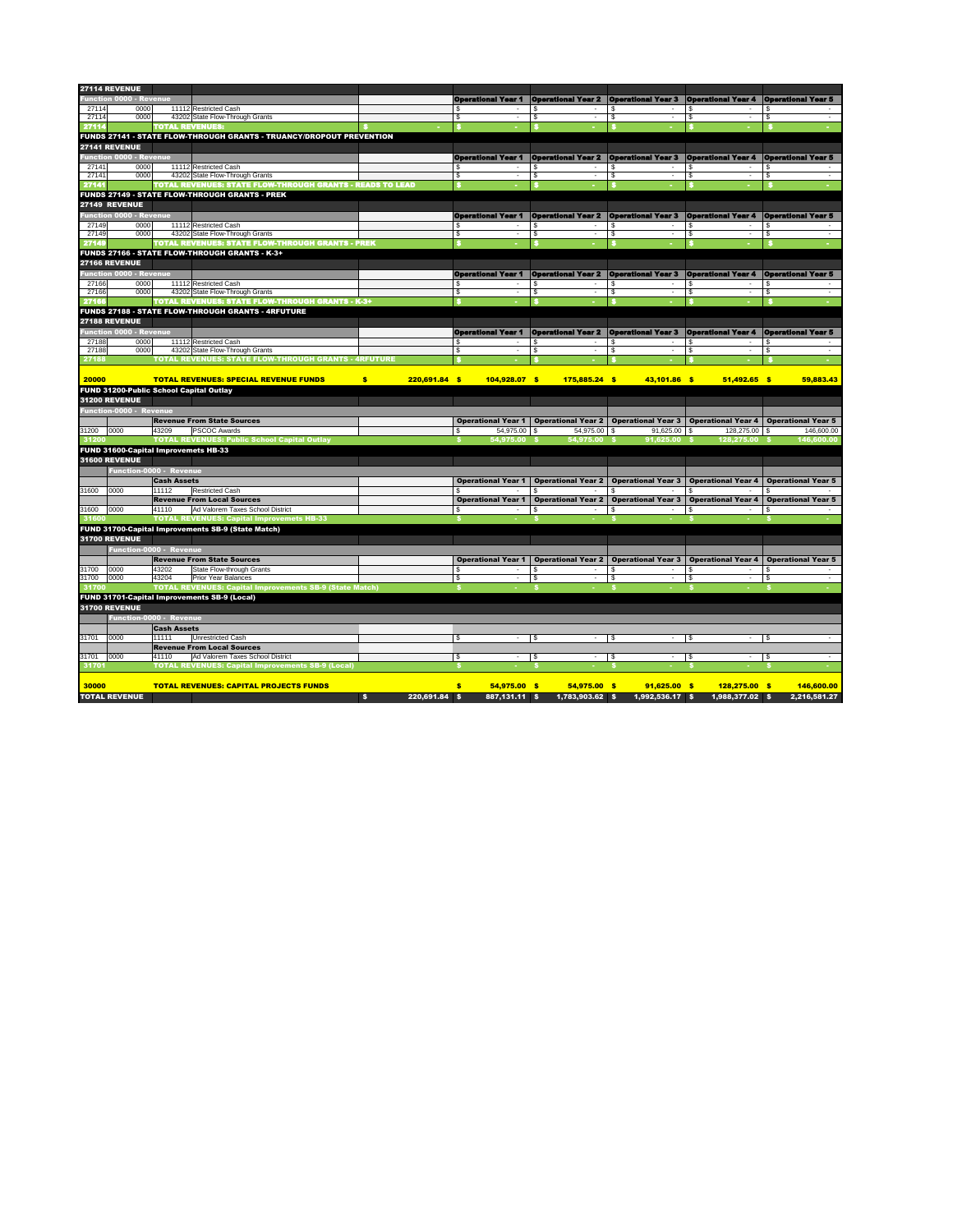|                | 27114 REVENUE                                  |                    |                                                                      |                       |                           |                                                                                                        |                           |                                         |                           |
|----------------|------------------------------------------------|--------------------|----------------------------------------------------------------------|-----------------------|---------------------------|--------------------------------------------------------------------------------------------------------|---------------------------|-----------------------------------------|---------------------------|
|                | <b>Function 0000 - Revenue</b>                 |                    |                                                                      |                       | <b>Operational Year 1</b> | <b>Operational Year 2 Operational Year 3 Operational Year 4 Operational Year 5</b>                     |                           |                                         |                           |
|                | 0000                                           |                    |                                                                      |                       |                           |                                                                                                        |                           | -S                                      |                           |
| 27114<br>27114 | 0000                                           |                    | 11112 Restricted Cash<br>43202 State Flow-Through Grants             |                       |                           | \$                                                                                                     | \$<br>\$<br>$\sim$        | \$                                      | - \$                      |
| 27114          |                                                |                    | <b>TOTAL REVENUES:</b>                                               |                       |                           |                                                                                                        |                           |                                         |                           |
|                |                                                |                    | FUNDS 27141 - STATE FLOW-THROUGH GRANTS - TRUANCY/DROPOUT PREVENTION |                       |                           |                                                                                                        |                           |                                         |                           |
|                |                                                |                    |                                                                      |                       |                           |                                                                                                        |                           |                                         |                           |
|                | <b>27141 REVENUE</b>                           |                    |                                                                      |                       |                           |                                                                                                        |                           |                                         |                           |
|                | <b>Function 0000 - Revenue</b>                 |                    |                                                                      |                       | <b>Operational Year 1</b> | <b>Operational Year 2 Operational Year 3</b>                                                           |                           | <b>Operational Year 4</b>               | <b>Operational Year 5</b> |
| 27141          | 0000                                           |                    | 11112 Restricted Cash                                                |                       |                           |                                                                                                        | S                         | -S                                      |                           |
| 27141          | 0000                                           |                    | 43202 State Flow-Through Grants                                      |                       | \$                        | \$                                                                                                     | \$<br>$\sim$              | \$                                      | -\$                       |
| 27141          |                                                |                    | TOTAL REVENUES: STATE FLOW-THROUGH GRANTS - READS TO LEAD            |                       |                           |                                                                                                        |                           |                                         |                           |
|                |                                                |                    | <b>FUNDS 27149 - STATE FLOW-THROUGH GRANTS - PREK</b>                |                       |                           |                                                                                                        |                           |                                         |                           |
|                | <b>27149 REVENUE</b>                           |                    |                                                                      |                       |                           |                                                                                                        |                           |                                         |                           |
|                | <b>Function 0000 - Revenue</b>                 |                    |                                                                      |                       | <b>Operational Year 1</b> | <b>Operational Year 2</b>                                                                              | <b>Operational Year 3</b> | <b>Operational Year 4</b>               | <b>Operational Year 5</b> |
| 27149          | 0000                                           |                    | 11112 Restricted Cash                                                |                       |                           |                                                                                                        | \$<br>$\sim$              | S.                                      |                           |
| 27149          | 0000                                           |                    | 43202 State Flow-Through Grants                                      |                       | \$.                       | \$                                                                                                     | \$                        | \$                                      | - \$                      |
| 27149          |                                                |                    | <b>TOTAL REVENUES: STATE FLOW-THROUGH GRANTS - PREK</b>              |                       |                           |                                                                                                        |                           |                                         |                           |
|                |                                                |                    | FUNDS 27166 - STATE FLOW-THROUGH GRANTS - K-3+                       |                       |                           |                                                                                                        |                           |                                         |                           |
|                | <b>27166 REVENUE</b>                           |                    |                                                                      |                       |                           |                                                                                                        |                           |                                         |                           |
|                | <b>Function 0000 - Revenue</b>                 |                    |                                                                      |                       | <b>Operational Year 1</b> | <b>Operational Year 2 Operational Year 3</b>                                                           |                           | <b>Operational Year 4</b>               | <b>Operational Year 5</b> |
| 27166          | 0000                                           |                    | 11112 Restricted Cash                                                |                       |                           |                                                                                                        | \$                        | ß.                                      |                           |
| 27166          | 0000                                           |                    | 43202 State Flow-Through Grants                                      |                       | \$.                       | \$                                                                                                     | \$<br>$\sim$              | \$<br>$\overline{\phantom{a}}$          | - \$                      |
| 27166          |                                                |                    | <b>TOTAL REVENUES: STATE FLOW-THROUGH GRANTS - K-3+</b>              |                       |                           |                                                                                                        |                           |                                         |                           |
|                |                                                |                    | FUNDS 27188 - STATE FLOW-THROUGH GRANTS - 4RFUTURE                   |                       |                           |                                                                                                        |                           |                                         |                           |
|                |                                                |                    |                                                                      |                       |                           |                                                                                                        |                           |                                         |                           |
|                | <b>27188 REVENUE</b>                           |                    |                                                                      |                       |                           |                                                                                                        |                           |                                         |                           |
|                | <b>Function 0000 - Revenue</b>                 |                    |                                                                      |                       | <b>Operational Year 1</b> | <b>Operational Year 2</b>                                                                              | <b>Operational Year 3</b> | <b>Operational Year 4</b>               | <b>Operational Year 5</b> |
| 27188          | 0000                                           |                    | 11112 Restricted Cash                                                |                       |                           |                                                                                                        | \$                        | -S                                      |                           |
| 27188          | 0000                                           |                    | 43202 State Flow-Through Grants                                      |                       | \$.                       | \$                                                                                                     | \$<br>$\sim$              | \$                                      | -\$                       |
| 27188          |                                                |                    | <b>TOTAL REVENUES: STATE FLOW-THROUGH GRANTS - 4RFUTURE</b>          |                       |                           |                                                                                                        |                           |                                         |                           |
|                |                                                |                    |                                                                      |                       |                           |                                                                                                        |                           |                                         |                           |
| 20000          |                                                |                    | <b>TOTAL REVENUES: SPECIAL REVENUE FUNDS</b>                         | \$<br>$220,691.84$ \$ | 104,928.07 \$             | $175,885.24$ \$                                                                                        | 43,101.86 \$              | $51,492.65$ \$                          | 59,883.43                 |
|                | <b>FUND 31200-Public School Capital Outlay</b> |                    |                                                                      |                       |                           |                                                                                                        |                           |                                         |                           |
|                | <b>31200 REVENUE</b>                           |                    |                                                                      |                       |                           |                                                                                                        |                           |                                         |                           |
|                | <b>Function-0000 - Revenue</b>                 |                    |                                                                      |                       |                           |                                                                                                        |                           |                                         |                           |
|                |                                                |                    | <b>Revenue From State Sources</b>                                    |                       |                           | Operational Year 1   Operational Year 2   Operational Year 3   Operational Year 4   Operational Year 5 |                           |                                         |                           |
| 31200          | 0000                                           | 43209              | <b>PSCOC Awards</b>                                                  |                       | $54,975.00$ \$            | 54,975.00 \$                                                                                           | $91,625.00$ \$            | $128,275.00$ \$                         | 146,600.00                |
| 31200          |                                                |                    | <b>TOTAL REVENUES: Public School Capital Outlay</b>                  |                       | 54,975.00 \$              | 54,975.00 \$                                                                                           | $91,625.00$ \$            | 128,275.00 \$                           | 146,600.00                |
|                | <b>FUND 31600-Capital Improvemets HB-33</b>    |                    |                                                                      |                       |                           |                                                                                                        |                           |                                         |                           |
|                | <b>31600 REVENUE</b>                           |                    |                                                                      |                       |                           |                                                                                                        |                           |                                         |                           |
|                | Function-0000 - Revenue                        |                    |                                                                      |                       |                           |                                                                                                        |                           |                                         |                           |
|                |                                                |                    |                                                                      |                       |                           |                                                                                                        |                           |                                         |                           |
|                |                                                | <b>Cash Assets</b> |                                                                      |                       | <b>Operational Year 1</b> | <b>Operational Year 2</b>                                                                              | <b>Operational Year 3</b> | <b>Operational Year 4</b>               | <b>Operational Year 5</b> |
| 31600          | 0000                                           | 11112              | <b>Restricted Cash</b>                                               |                       |                           |                                                                                                        |                           |                                         |                           |
|                |                                                |                    | <b>Revenue From Local Sources</b>                                    |                       | <b>Operational Year 1</b> | <b>Operational Year 2</b>                                                                              |                           | Operational Year 3   Operational Year 4 | <b>Operational Year 5</b> |
| 31600          | 0000                                           | 41110              | Ad Valorem Taxes School District                                     |                       | $\sim$                    |                                                                                                        | \$<br>$\sim$              | \$                                      | - \$                      |
| 31600          |                                                |                    | <b>TOTAL REVENUES: Capital Improvemets HB-33</b>                     |                       |                           |                                                                                                        |                           |                                         |                           |
|                |                                                |                    | FUND 31700-Capital Improvements SB-9 (State Match)                   |                       |                           |                                                                                                        |                           |                                         |                           |
|                | <b>31700 REVENUE</b>                           |                    |                                                                      |                       |                           |                                                                                                        |                           |                                         |                           |
|                | Function-0000 - Revenue                        |                    |                                                                      |                       |                           |                                                                                                        |                           |                                         |                           |
|                |                                                |                    | <b>Revenue From State Sources</b>                                    |                       | <b>Operational Year 1</b> | <b>Operational Year 2</b>                                                                              | <b>Operational Year 3</b> | <b>Operational Year 4</b>               | <b>Operational Year 5</b> |
| 31700          | 0000                                           | 43202              | <b>State Flow-through Grants</b>                                     |                       |                           |                                                                                                        | - \$<br>$\sim$            | - \$                                    | - 8                       |
| 31700          | 0000                                           | 43204              | <b>Prior Year Balances</b>                                           |                       | \$                        | $\sqrt[6]{3}$                                                                                          | \$<br>$\sim$              | $\boldsymbol{\mathsf{S}}$               | \$<br>$\sim$              |
| 31700          |                                                |                    | <b>TOTAL REVENUES: Capital Improvements SB-9 (State Match)</b>       |                       |                           |                                                                                                        |                           |                                         |                           |
|                |                                                |                    | <b>FUND 31701-Capital Improvements SB-9 (Local)</b>                  |                       |                           |                                                                                                        |                           |                                         |                           |
|                | <b>31700 REVENUE</b>                           |                    |                                                                      |                       |                           |                                                                                                        |                           |                                         |                           |
|                | <b>Function-0000 - Revenue</b>                 |                    |                                                                      |                       |                           |                                                                                                        |                           |                                         |                           |
|                |                                                |                    |                                                                      |                       |                           |                                                                                                        |                           |                                         |                           |
|                |                                                | <b>Cash Assets</b> |                                                                      |                       |                           |                                                                                                        |                           |                                         |                           |
| 31701          | 0000                                           | 11111              | <b>Unrestricted Cash</b>                                             |                       | \$<br>$\blacksquare$      | -\$                                                                                                    | \$<br>$\sim$              | $\sqrt{3}$<br>$\overline{\phantom{a}}$  | \$<br>$\sim$              |
|                |                                                |                    | <b>Revenue From Local Sources</b>                                    |                       |                           |                                                                                                        |                           |                                         |                           |
| 31701          | 0000                                           | 41110              | Ad Valorem Taxes School District                                     |                       | \$<br>$\sim$              | \$<br>$\sim$                                                                                           | $\sqrt{3}$<br>$\sim$      | <b>\$</b><br>$\sim$                     | \$<br>$\sim$ $-$          |
| 31701          |                                                |                    | <b>TOTAL REVENUES: Capital Improvements SB-9 (Local)</b>             |                       |                           |                                                                                                        |                           |                                         |                           |

| 30000                | <b>TOTAL REVENUES: CAPITAL PROJECTS FUNDS</b> |  |  |                                                                                                |  |  | 146.600.00 |
|----------------------|-----------------------------------------------|--|--|------------------------------------------------------------------------------------------------|--|--|------------|
| <b>TOTAL REVENUE</b> |                                               |  |  | 220,691.84 \$   887,131.11 \$  1,783,903.62 \$  1,992,536.17 \$  1,988,377.02 \$  2,216,581.27 |  |  |            |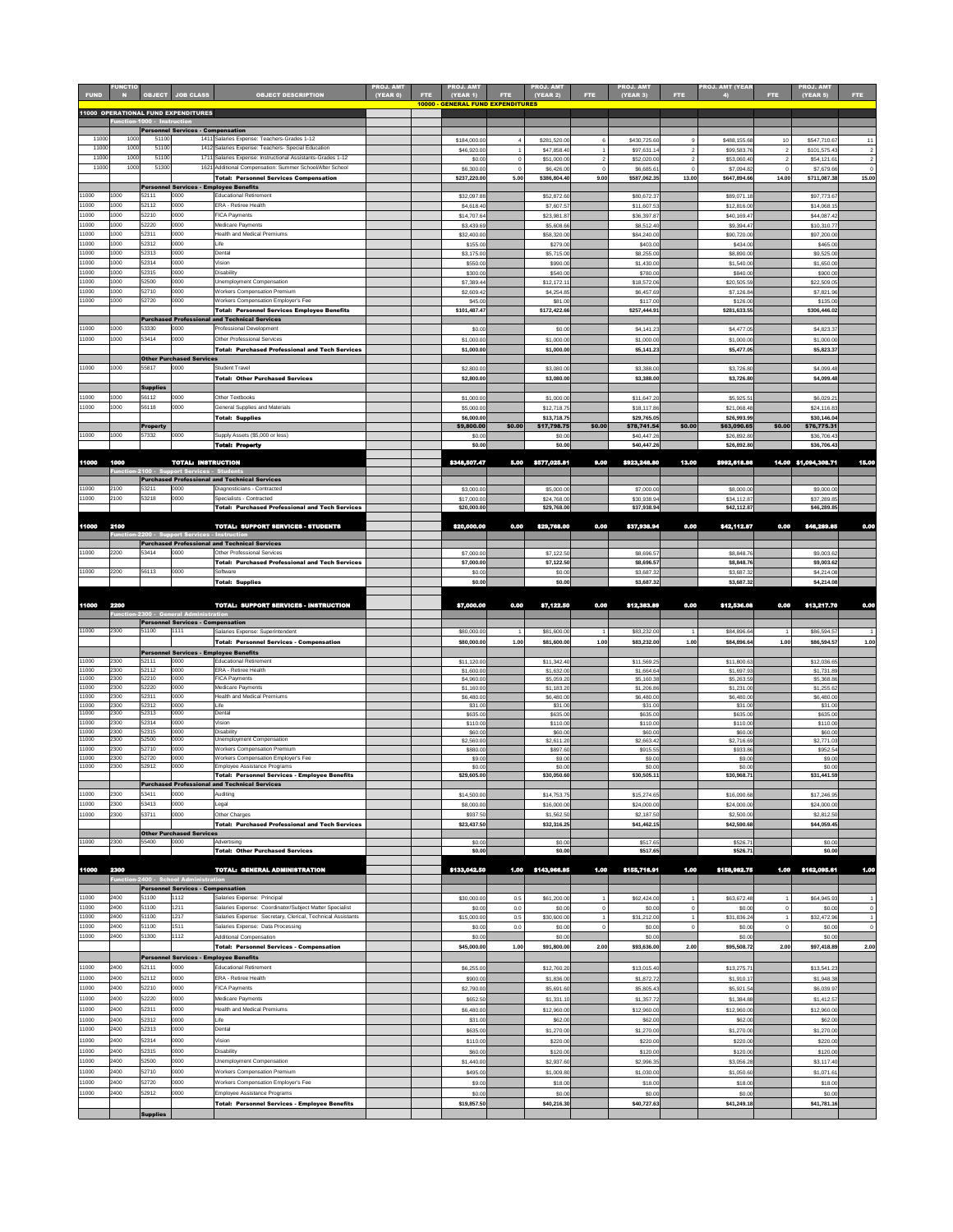| <b>FUND</b>    | <b>FUNCTIO</b> | <b>OBJECT</b>               | <b>JOB CLASS</b>                                 | <b>OBJECT DESCRIPTION</b>                                                                                         | <b>PROJ. AMT</b><br>(YEAR 0) | FTE. | <b>PROJ. AMT</b><br>(YEAR 1)             | <b>FTE</b> | <b>PROJ. AMT</b><br>(YEAR 2) | FTE:   | PROJ. AMT<br><b>(YEAR 3)</b> | FTE.           | <b>PROJ. AMT (YEAR</b>     | FTE.   | <b>PROJ. AMT</b><br>(YEAR 5) | FTE:                       |
|----------------|----------------|-----------------------------|--------------------------------------------------|-------------------------------------------------------------------------------------------------------------------|------------------------------|------|------------------------------------------|------------|------------------------------|--------|------------------------------|----------------|----------------------------|--------|------------------------------|----------------------------|
|                |                |                             | <b>11000 OPERATIONAL FUND EXPENDITURES</b>       |                                                                                                                   |                              |      | <b>10000 - GENERAL FUND EXPENDITURES</b> |            |                              |        |                              |                |                            |        |                              |                            |
|                |                | Function-1000 - Instruction | <b>Personnel Services - Compensation</b>         |                                                                                                                   |                              |      |                                          |            |                              |        |                              |                |                            |        |                              |                            |
| 11000          | 1000           | 51100                       |                                                  | 1411 Salaries Expense: Teachers-Grades 1-12                                                                       |                              |      | \$184,000.00                             |            | \$281,520.00                 |        | \$430,725.60                 | $\mathbf{q}$   | \$488,155.68               | 10     | \$547,710.67                 | 11                         |
| 11000<br>11000 | 1000<br>1000   | 51100<br>51100              |                                                  | 1412 Salaries Expense: Teachers- Special Education<br>1711 Salaries Expense: Instructional Assistants-Grades 1-12 |                              |      | \$46,920.00                              |            | \$47,858.40                  |        | \$97,631.1                   | $\overline{2}$ | \$99,583.76                | 2      | \$101,575.43                 | $\overline{2}$             |
| 11000          | 1000           | 51300                       |                                                  | 1621 Additional Compensation: Summer School/After School                                                          |                              |      | \$0.00<br>\$6,300.00                     |            | \$51,000.00<br>\$6,426.00    |        | \$52,020.00<br>\$6,685.61    | $\Omega$       | \$53,060.40<br>\$7,094.82  |        | \$54,121.61<br>\$7,679.66    | $\overline{2}$<br>$\Omega$ |
|                |                |                             |                                                  | <b>Total: Personnel Services Compensation</b><br><b>Personnel Services - Employee Benefits</b>                    |                              |      | \$237,220.00                             | 5.00       | \$386,804.40                 | 9.00   | \$587,062.35                 | 13.00          | \$647,894.66               | 14.00  | \$711,087.38                 | 15.00                      |
| 11000          | 1000           | 52111                       | 0000                                             | <b>Educational Retirement</b>                                                                                     |                              |      | \$32,097.88                              |            | \$52,872.60                  |        | \$80,672.37                  |                | \$89,071.18                |        | \$97,773.67                  |                            |
| 11000<br>11000 | 1000<br>1000   | 52112<br>52210              | 0000<br>0000                                     | <b>ERA - Retiree Health</b><br><b>FICA Payments</b>                                                               |                              |      | \$4,618.40                               |            | \$7,607.57                   |        | \$11,607.53                  |                | \$12,816.00                |        | \$14,068.15                  |                            |
| 11000          | 1000           | 52220                       | 0000                                             | Medicare Payments                                                                                                 |                              |      | \$14,707.64<br>\$3,439.69                |            | \$23,981.87<br>\$5,608.66    |        | \$36,397.87<br>\$8,512.40    |                | \$40,169.47<br>\$9,394.47  |        | \$44,087.42<br>\$10,310.77   |                            |
| 11000          | 1000           | 52311                       | 0000                                             | <b>Health and Medical Premiums</b>                                                                                |                              |      | \$32,400.00                              |            | \$58,320.00                  |        | \$84,240.00                  |                | \$90,720.00                |        | \$97,200.00                  |                            |
| 11000<br>11000 | 1000<br>1000   | 52312<br>52313              | 0000<br>0000                                     | Life<br>Dental                                                                                                    |                              |      | \$155.00<br>\$3,175.00                   |            | \$279.00<br>\$5,715.00       |        | \$403.00<br>\$8,255.00       |                | \$434.00<br>\$8,890.00     |        | \$465.00<br>\$9,525.00       |                            |
| 11000          | 1000           | 52314                       | 0000                                             | Vision                                                                                                            |                              |      | \$550.00                                 |            | \$990.00                     |        | \$1,430.00                   |                | \$1,540.00                 |        | \$1,650.00                   |                            |
| 11000<br>11000 | 1000<br>1000   | 52315<br>52500              | 0000<br>0000                                     | Disability<br>Unemployment Compensation                                                                           |                              |      | \$300.00<br>\$7,389.44                   |            | \$540.00<br>\$12,172.11      |        | \$780.00<br>\$18,572.06      |                | \$840.00<br>\$20,505.59    |        | \$900.00<br>\$22,509.05      |                            |
| 11000          | 1000           | 52710                       | 0000                                             | <b>Workers Compensation Premium</b>                                                                               |                              |      | \$2,609.42                               |            | \$4,254.85                   |        | \$6,457.69                   |                | \$7,126.84                 |        | \$7,821.96                   |                            |
| 11000          | 1000           | 52720                       | 0000                                             | Workers Compensation Employer's Fee<br>Total: Personnel Services Employee Benefits                                |                              |      | \$45.00<br>\$101,487.47                  |            | \$81.00<br>\$172,422.66      |        | \$117.00<br>\$257,444.9      |                | \$126.00<br>\$281,633.55   |        | \$135.00<br>\$306,446.02     |                            |
|                |                |                             |                                                  | <b>Purchased Professional and Technical Services</b>                                                              |                              |      |                                          |            |                              |        |                              |                |                            |        |                              |                            |
| 11000<br>11000 | 1000<br>1000   | 53330<br>53414              | 0000<br>0000                                     | <b>Professional Development</b><br><b>Other Professional Services</b>                                             |                              |      | \$0.00                                   |            | \$0.00                       |        | \$4,141.23                   |                | \$4,477.05                 |        | \$4,823.37                   |                            |
|                |                |                             |                                                  | <b>Total: Purchased Professional and Tech Services</b>                                                            |                              |      | \$1,000.00<br>\$1,000.00                 |            | \$1,000.00<br>\$1,000.00     |        | \$1,000.00<br>\$5,141.23     |                | \$1,000.00<br>\$5,477.05   |        | \$1,000.00<br>\$5,823.37     |                            |
|                |                |                             | <b>Other Purchased Services</b>                  |                                                                                                                   |                              |      |                                          |            |                              |        |                              |                |                            |        |                              |                            |
| 11000          | 1000           | 55817                       | 0000                                             | <b>Student Travel</b><br><b>Total: Other Purchased Services</b>                                                   |                              |      | \$2,800.00<br>\$2,800.00                 |            | \$3,080.00<br>\$3,080.00     |        | \$3,388.00<br>\$3,388.00     |                | \$3,726.80<br>\$3,726.80   |        | \$4,099.48<br>\$4,099.48     |                            |
|                |                | <b>Supplies</b>             |                                                  |                                                                                                                   |                              |      |                                          |            |                              |        |                              |                |                            |        |                              |                            |
| 11000<br>11000 | 1000<br>1000   | 56112<br>56118              | 0000<br>0000                                     | Other Textbooks<br><b>General Supplies and Materials</b>                                                          |                              |      | \$1,000.00<br>\$5,000.00                 |            | \$1,000.00<br>\$12,718.75    |        | \$11,647.20<br>\$18, 117.86  |                | \$5,925.51<br>\$21,068.48  |        | \$6,029.21<br>\$24,116.83    |                            |
|                |                |                             |                                                  | <b>Total: Supplies</b>                                                                                            |                              |      | \$6,000.00                               |            | \$13,718.75                  |        | \$29,765.05                  |                | \$26,993.99                |        | \$30,146.04                  |                            |
| 11000          | 1000           | <b>Property</b><br>57332    | 0000                                             | Supply Assets (\$5,000 or less)                                                                                   |                              |      | \$9,800.00<br>\$0.00                     | \$0.00     | \$17,798.75<br>\$0.00        | \$0.00 | \$78,741.54<br>\$40,447.26   | \$0.00         | \$63,090.65<br>\$26,892.80 | \$0.00 | \$76,775.31<br>\$36,706.43   |                            |
|                |                |                             |                                                  | <b>Total: Property</b>                                                                                            |                              |      | \$0.00                                   |            | \$0.00                       |        | \$40,447.26                  |                | \$26,892.80                |        | \$36,706.43                  |                            |
| 11000          | 1000           |                             | <b>TOTAL: INSTRUCTION</b>                        |                                                                                                                   |                              |      | \$348,507.47                             | 5.00       | \$577,025.81                 | 9.00   | \$923,248.80                 | 13.00          | \$992,618.86               |        | 14.00 \$1,094,308.71         | 15.00                      |
|                |                |                             | Function-2100 - Support Services - Students      |                                                                                                                   |                              |      |                                          |            |                              |        |                              |                |                            |        |                              |                            |
| 11000          | 2100           | 53211                       | 0000                                             | <b>Purchased Professional and Technical Services</b><br>Diagnosticians - Contracted                               |                              |      | \$3,000.00                               |            | \$5,000.00                   |        | \$7,000.00                   |                | \$8,000.00                 |        | \$9,000.00                   |                            |
| 11000          | 2100           | 53218                       | 0000                                             | Specialists - Contracted                                                                                          |                              |      | \$17,000.00                              |            | \$24,768.00                  |        | \$30,938.94                  |                | \$34,112.87                |        | \$37,289.85                  |                            |
|                |                |                             |                                                  | <b>Total: Purchased Professional and Tech Services</b>                                                            |                              |      | \$20,000.00                              |            | \$29,768.00                  |        | \$37,938.94                  |                | \$42,112.87                |        | \$46,289.85                  |                            |
| 11000          | 2100           |                             |                                                  | <b>TOTAL: SUPPORT SERVICES - STUDENTS</b>                                                                         |                              |      | \$20,000.00                              | 0.00       | \$29,768.00                  | 0.00   | \$37,938.94                  | 0.00           | \$42,112.87                | 0.00   | \$46,289.85                  | 0.00                       |
|                |                |                             | Function-2200 - Support Services - Instruction   | <b>Purchased Professional and Technical Services</b>                                                              |                              |      |                                          |            |                              |        |                              |                |                            |        |                              |                            |
| 11000          | 2200           | 53414                       | 0000                                             | <b>Other Professional Services</b>                                                                                |                              |      | \$7,000.00                               |            | \$7,122.50                   |        | \$8,696.57                   |                | \$8,848.76                 |        | \$9,003.62                   |                            |
| 11000          | 2200           | 56113                       | 0000                                             | <b>Total: Purchased Professional and Tech Services</b><br>Software                                                |                              |      | \$7,000.00<br>\$0.00                     |            | \$7,122.50<br>\$0.00         |        | \$8,696.57<br>\$3,687.32     |                | \$8,848.76<br>\$3,687.32   |        | \$9,003.62<br>\$4,214.08     |                            |
|                |                |                             |                                                  | Total: Supplies                                                                                                   |                              |      | \$0.00                                   |            | \$0.00                       |        | \$3,687.32                   |                | \$3,687.32                 |        | \$4,214.08                   |                            |
|                |                |                             |                                                  |                                                                                                                   |                              |      |                                          |            |                              |        |                              |                |                            |        |                              |                            |
| 11000          | 2200           |                             | <b>Function-2300 - General Administration</b>    | TOTAL: SUPPORT SERVICES - INSTRUCTION                                                                             |                              |      | \$7,000.00                               | 0.00       | \$7,122.50                   | 0.00   | \$12,383.89                  | 0.00           | \$12,536.08                | 0.00   | \$13,217.70                  | 0.00                       |
| 11000          | 2300           | 51100                       | <b>Personnel Services - Compensation</b><br>1111 | Salaries Expense: Superintendent                                                                                  |                              |      | \$80,000.00                              |            | \$81,600.00                  |        | \$83,232.00                  |                | \$84,896.64                |        | \$86,594.57                  |                            |
|                |                |                             |                                                  | Total: Personnel Services - Compensation                                                                          |                              |      | \$80,000.00                              | 1.00       | \$81,600.00                  | 1.00   | \$83,232.00                  | 1.00           | \$84,896.64                | 1.00   | \$86,594.57                  | 1.00                       |
|                |                |                             |                                                  | <b>Personnel Services - Employee Benefits</b>                                                                     |                              |      |                                          |            |                              |        |                              |                |                            |        |                              |                            |
| 11000<br>11000 | 2300<br>2300   | 52111<br>52112              | 0000<br>0000                                     | <b>Educational Retirement</b><br><b>ERA - Retiree Health</b>                                                      |                              |      | \$11,120.00<br>\$1,600.00                |            | \$11,342.40<br>\$1,632.00    |        | \$11,569.25<br>\$1,664.64    |                | \$11,800.63<br>\$1,697.93  |        | \$12,036.65<br>\$1,731.89    |                            |
| 11000<br>11000 | 2300<br>2300   | 52210<br>52220              | 0000<br>0000                                     | <b>FICA Payments</b><br>Medicare Payments                                                                         |                              |      | \$4,960.00<br>\$1,160.00                 |            | \$5,059.20<br>\$1,183.20     |        | \$5,160.38<br>\$1,206.86     |                | \$5,263.59<br>\$1,231.00   |        | \$5,368.86<br>\$1,255.62     |                            |
| 11000          | 2300           | 52311                       | 0000                                             | <b>Health and Medical Premiums</b>                                                                                |                              |      | \$6,480.00                               |            | \$6,480.00                   |        | \$6,480.00                   |                | \$6,480.00                 |        | \$6,480.00                   |                            |
| 11000<br>11000 | 2300<br>2300   | 52312<br>52313              | 0000<br>0000                                     | Life<br>Dental                                                                                                    |                              |      | \$31.00<br>\$635.00                      |            | \$31.00<br>\$635.00          |        | \$31.00<br>\$635.00          |                | \$31.00<br>\$635.00        |        | \$31.00<br>\$635.00          |                            |
| 11000          | 2300           | 52314                       | 0000                                             | Vision                                                                                                            |                              |      | \$110.00                                 |            | \$110.00                     |        | \$110.00                     |                | \$110.00                   |        | \$110.00                     |                            |
| 11000<br>11000 | 2300<br>2300   | 52315<br>52500              | 0000<br>0000                                     | Disability<br><b>Unemployment Compensation</b>                                                                    |                              |      | \$60.00<br>\$2,560.00                    |            | \$60.00<br>\$2,611.20        |        | \$60.00<br>\$2,663.42        |                | \$60.00<br>\$2,716.69      |        | \$60.00<br>\$2,771.03        |                            |
| 11000<br>11000 | 2300<br>2300   | 52710<br>52720              | 0000<br>0000                                     | <b>Workers Compensation Premium</b><br>Workers Compensation Employer's Fee                                        |                              |      | \$880.00                                 |            | \$897.60                     |        | \$915.55<br>\$9.00           |                | \$933.86                   |        | \$952.54                     |                            |
| 11000          | 2300           | 52912                       | 0000                                             | Employee Assistance Programs                                                                                      |                              |      | \$9.00<br>\$0.00                         |            | \$9.00<br>\$0.00             |        | \$0.00                       |                | \$9.00<br>\$0.00           |        | \$9.00<br>\$0.00             |                            |
|                |                |                             |                                                  | <b>Total: Personnel Services - Employee Benefits</b><br><b>Purchased Professional and Technical Services</b>      |                              |      | \$29,605.00                              |            | \$30,050.60                  |        | \$30,505.11                  |                | \$30,968.71                |        | \$31,441.59                  |                            |
| 11000          | 2300           | 53411                       | 0000                                             | Auditing                                                                                                          |                              |      | \$14,500.00                              |            | \$14,753.75                  |        | \$15,274.65                  |                | \$16,090.68                |        | \$17,246.95                  |                            |
| 11000<br>11000 | 2300<br>2300   | 53413<br>53711              | 0000<br>0000                                     | Legal<br><b>Other Charges</b>                                                                                     |                              |      | \$8,000.00                               |            | \$16,000.00                  |        | \$24,000.00                  |                | \$24,000.00                |        | \$24,000.00                  |                            |
|                |                |                             |                                                  | <b>Total: Purchased Professional and Tech Services</b>                                                            |                              |      | \$937.50<br>\$23,437.50                  |            | \$1,562.50<br>\$32,316.25    |        | \$2,187.50<br>\$41,462.15    |                | \$2,500.00<br>\$42,590.68  |        | \$2,812.50<br>\$44,059.45    |                            |
| 11000          | 2300           | 55400                       | <b>Other Purchased Services</b><br>0000          | Advertising                                                                                                       |                              |      | \$0.00                                   |            | \$0.00                       |        | \$517.65                     |                | \$526.71                   |        | \$0.00                       |                            |
|                |                |                             |                                                  | <b>Total: Other Purchased Services</b>                                                                            |                              |      | \$0.00                                   |            | \$0.00                       |        | \$517.65]                    |                | \$526.71                   |        | \$0.00                       |                            |
| 11000          | 2300           |                             |                                                  | <b>TOTAL: GENERAL ADMINISTRATION</b>                                                                              |                              |      | \$133,042.50                             | 1.00       | \$143,966.85                 | 1.00   | \$155,716.91                 | 1.00           | \$158,982.75               | 1.00   | \$162,095.61                 | 1.00                       |
|                |                |                             | Function-2400 - School Administration            |                                                                                                                   |                              |      |                                          |            |                              |        |                              |                |                            |        |                              |                            |
| 11000          | 2400           | 51100                       | <b>Personnel Services - Compensation</b><br>1112 | Salaries Expense: Principal                                                                                       |                              |      | \$30,000.00                              | 0.5        | \$61,200.00                  |        | \$62,424.00                  |                | \$63,672.48                |        | \$64,945.93                  |                            |
| 11000          | 2400           | 51100                       | 1211                                             | Salaries Expense: Coordinator/Subject Matter Specialist                                                           |                              |      | \$0.00                                   | 0.0        | \$0.00                       |        | \$0.00                       | $\Omega$       | \$0.00                     |        | \$0.00                       | $\overline{0}$             |
| 11000          | 2400           | 51100                       | 1217                                             | Salaries Expense: Secretary, Clerical, Technical Assistants                                                       |                              |      | \$15,000.00                              | 0.5        | \$30,600.00                  |        | \$31,212.00                  |                | \$31,836.24                |        | \$32,472.96                  |                            |
| 11000<br>11000 | 2400<br>2400   | 51100<br>51300              | 1511<br>1112                                     | Salaries Expense: Data Processing<br>Additional Compensation                                                      |                              |      | \$0.00<br>\$0.00                         | 0.0        | \$0.00<br>\$0.00             |        | \$0.00<br>\$0.00]            | $\Omega$       | \$0.00<br>\$0.00           |        | \$0.00<br>\$0.00             | $\overline{0}$             |
|                |                |                             |                                                  | <b>Total: Personnel Services - Compensation</b>                                                                   |                              |      | \$45,000.00                              | 1.00       | \$91,800.00                  | 2.00   | \$93,636.00                  | 2.00           | \$95,508.72                | 2.00   | \$97,418.89                  | 2.00                       |
| 11000          | 2400           | 52111                       | 0000                                             | <b>Personnel Services - Employee Benefits</b><br><b>Educational Retirement</b>                                    |                              |      | \$6,255.00                               |            | \$12,760.20                  |        | \$13,015.40                  |                | \$13,275.71                |        | \$13,541.23                  |                            |
| 11000          | 2400           | 52112                       | 0000                                             | <b>ERA - Retiree Health</b>                                                                                       |                              |      | \$900.00                                 |            | \$1,836.00                   |        | \$1,872.72                   |                | \$1,910.17                 |        | \$1,948.38                   |                            |
| 11000          | 2400           | 52210                       | 0000                                             | <b>FICA Payments</b>                                                                                              |                              |      | \$2,790.00                               |            | \$5,691.60                   |        | \$5,805.43                   |                | \$5,921.54                 |        | \$6,039.97                   |                            |
| 11000<br>11000 | 2400<br>2400   | 52220<br>52311              | 0000<br>0000                                     | Medicare Payments<br><b>Health and Medical Premiums</b>                                                           |                              |      | \$652.50<br>\$6,480.00                   |            | \$1,331.10<br>\$12,960.00    |        | \$1,357.72<br>\$12,960.00    |                | \$1,384.88<br>\$12,960.00  |        | \$1,412.57<br>\$12,960.00    |                            |
| 11000          | 2400           | 52312                       | 0000                                             | Life                                                                                                              |                              |      | \$31.00                                  |            | \$62.00                      |        | \$62.00                      |                | \$62.00                    |        | \$62.00                      |                            |
| 11000          | 2400           | 52313                       | 0000                                             | Dental                                                                                                            |                              |      | \$635.00                                 |            | \$1,270.00                   |        | \$1,270.00                   |                | \$1,270.00                 |        | \$1,270.00                   |                            |
| 11000<br>11000 | 2400<br>2400   | 52314<br>52315              | 0000<br>0000                                     | Vision<br><b>Disability</b>                                                                                       |                              |      | \$110.00<br>\$60.00                      |            | \$220.00<br>\$120.00         |        | \$220.00]<br>\$120.00        |                | \$220.00<br>\$120.00       |        | \$220.00<br>\$120.00         |                            |
| 11000          | 2400           | 52500                       | 0000                                             | Unemployment Compensation                                                                                         |                              |      | \$1,440.00                               |            | \$2,937.60                   |        | \$2,996.35                   |                | \$3,056.28                 |        | \$3,117.40                   |                            |
| 11000          | 2400           | 52710                       | 0000                                             | <b>Workers Compensation Premium</b>                                                                               |                              |      | \$495.00                                 |            | \$1,009.80                   |        | \$1,030.00                   |                | \$1,050.60                 |        | \$1,071.61                   |                            |
| 11000<br>11000 | 2400<br>2400   | 52720<br>52912              | 0000<br>0000                                     | <b>Workers Compensation Employer's Fee</b><br>Employee Assistance Programs                                        |                              |      | \$9.00<br>\$0.00                         |            | \$18.00<br>\$0.00            |        | \$18.00<br>\$0.00            |                | \$18.00<br>\$0.00          |        | \$18.00<br>\$0.00            |                            |
|                |                |                             |                                                  | Total: Personnel Services - Employee Benefits                                                                     |                              |      | \$19,857.50                              |            | \$40,216.30                  |        | \$40,727.63                  |                | \$41,249.18                |        | \$41,781.16                  |                            |
|                |                | <b>Supplies</b>             |                                                  |                                                                                                                   |                              |      |                                          |            |                              |        |                              |                |                            |        |                              |                            |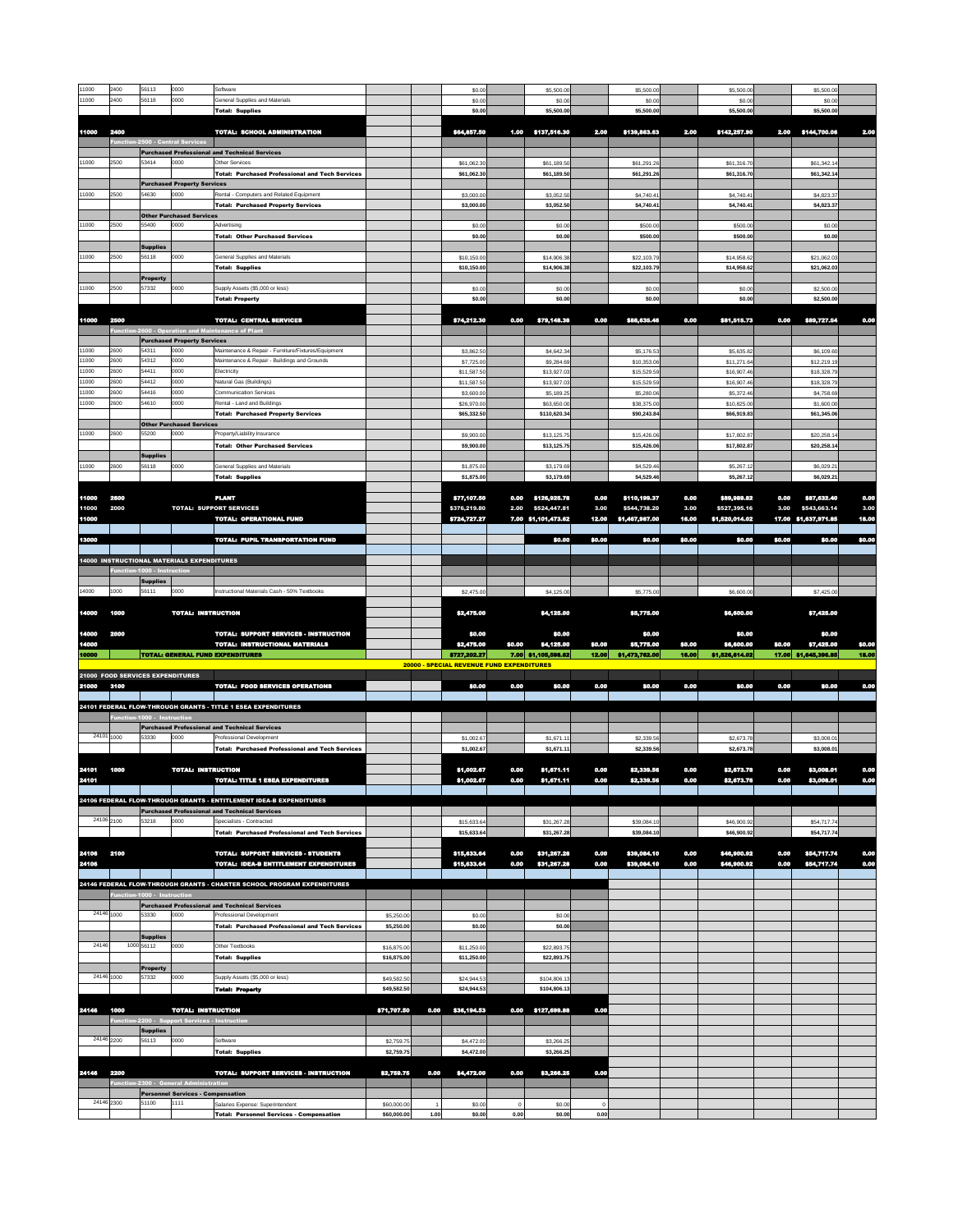| 11000          | 2400                | 56113                            | 0000                                              | Software                                                                           |                          | \$0.00                                           |              | \$5,500.00                          |              | \$5,500.00                     |              | \$5,500.00                     |              | \$5,500.00                           |              |
|----------------|---------------------|----------------------------------|---------------------------------------------------|------------------------------------------------------------------------------------|--------------------------|--------------------------------------------------|--------------|-------------------------------------|--------------|--------------------------------|--------------|--------------------------------|--------------|--------------------------------------|--------------|
| 11000          | 2400                | 56118                            | 0000                                              | <b>General Supplies and Materials</b>                                              |                          | \$0.00                                           |              | \$0.00                              |              | \$0.00                         |              | \$0.00                         |              | \$0.00                               |              |
|                |                     |                                  |                                                   | <b>Total: Supplies</b>                                                             |                          | \$0.00                                           |              | \$5,500.00                          |              | \$5,500.00                     |              | \$5,500.00                     |              | \$5,500.00                           |              |
| 11000          | 2400                |                                  |                                                   | TOTAL: SCHOOL ADMINISTRATION                                                       |                          | \$64,857.50                                      |              | 1.00 \$137,516.30                   | 2.00         | \$139,863.63                   | 2.00         | \$142,257.90                   |              | 2.00 \$144,700.06                    | 2.00         |
|                |                     | Function-2500 - Central Services |                                                   |                                                                                    |                          |                                                  |              |                                     |              |                                |              |                                |              |                                      |              |
|                |                     |                                  |                                                   | <b>Purchased Professional and Technical Services</b>                               |                          |                                                  |              |                                     |              |                                |              |                                |              |                                      |              |
| 11000          | 2500                | 53414                            | 0000                                              | <b>Other Services</b><br>Total: Purchased Professional and Tech Services           |                          | \$61,062.30<br>\$61,062.30                       |              | \$61,189.50<br>\$61,189.50          |              | \$61,291.26<br>\$61,291.26     |              | \$61,316.70<br>\$61,316.70     |              | \$61,342.14<br>\$61,342.14           |              |
|                |                     |                                  | <b>Purchased Property Services</b>                |                                                                                    |                          |                                                  |              |                                     |              |                                |              |                                |              |                                      |              |
| 11000          | 2500                | 54630                            | 0000                                              | Rental - Computers and Related Equipment                                           |                          | \$3,000.00                                       |              | \$3,052.50                          |              | \$4,740.41                     |              | \$4,740.41                     |              | \$4,823.37                           |              |
|                |                     |                                  |                                                   | <b>Total: Purchased Property Services</b>                                          |                          | \$3,000.00                                       |              | \$3,052.50                          |              | \$4,740.41                     |              | \$4,740.41                     |              | \$4,823.37                           |              |
| 11000          | 2500                | 55400                            | <b>Other Purchased Services</b><br>0000           | Advertising                                                                        |                          |                                                  |              |                                     |              |                                |              |                                |              |                                      |              |
|                |                     |                                  |                                                   | <b>Total: Other Purchased Services</b>                                             |                          | \$0.00<br>\$0.00                                 |              | \$0.00<br>\$0.00                    |              | \$500.00<br>\$500.00           |              | \$500.00<br>\$500.00           |              | \$0.00<br>\$0.00                     |              |
|                |                     | <b>Supplies</b>                  |                                                   |                                                                                    |                          |                                                  |              |                                     |              |                                |              |                                |              |                                      |              |
| 11000          | 2500                | 56118                            | 0000                                              | <b>General Supplies and Materials</b>                                              |                          | \$10,150.00                                      |              | \$14,906.38                         |              | \$22,103.79                    |              | \$14,958.62                    |              | \$21,062.03                          |              |
|                |                     |                                  |                                                   | <b>Total: Supplies</b>                                                             |                          | \$10,150.00                                      |              | \$14,906.38                         |              | \$22,103.79                    |              | \$14,958.62                    |              | \$21,062.03                          |              |
| 11000          | 2500                | <b>Property</b><br>57332         | 0000                                              | Supply Assets (\$5,000 or less)                                                    |                          | \$0.00                                           |              | \$0.00                              |              | \$0.00                         |              | \$0.00                         |              | \$2,500.00                           |              |
|                |                     |                                  |                                                   | <b>Total: Property</b>                                                             |                          | \$0.00                                           |              | \$0.00                              |              | \$0.00                         |              | \$0.00                         |              | \$2,500.00                           |              |
|                |                     |                                  |                                                   |                                                                                    |                          |                                                  |              |                                     |              |                                |              |                                |              |                                      |              |
| 11000          | 2500                |                                  |                                                   | <b>TOTAL: CENTRAL SERVICES</b>                                                     |                          | \$74,212.30                                      | 0.00         | \$79,148.38                         | 0.00         | \$88,635.46                    | 0.00         | \$81,515.73                    | 0.00         | \$89,727.54                          | 0.00         |
|                |                     |                                  | <b>Purchased Property Services</b>                | Function-2600 - Operation and Maintenance of Plant                                 |                          |                                                  |              |                                     |              |                                |              |                                |              |                                      |              |
| 11000          | 2600                | 54311                            | 0000                                              | Maintenance & Repair - Furniture/Fixtures/Equipment                                |                          | \$3,862.50                                       |              | \$4,642.34                          |              | \$5,176.53                     |              | \$5,635.82                     |              | \$6,109.60                           |              |
| 11000          | 2600                | 54312                            | 0000                                              | Maintenance & Repair - Buildings and Grounds                                       |                          | \$7,725.00                                       |              | \$9,284.69                          |              | \$10,353.06                    |              | \$11,271.64                    |              | \$12,219.19                          |              |
| 11000          | 2600                | 54411                            | 0000                                              | Electricity                                                                        |                          | \$11,587.50                                      |              | \$13,927.03                         |              | \$15,529.59                    |              | \$16,907.46                    |              | \$18,328.79                          |              |
| 11000<br>11000 | 2600<br>2600        | 54412<br>54416                   | 0000<br>0000                                      | Natural Gas (Buildings)<br><b>Communication Services</b>                           |                          | \$11,587.50                                      |              | \$13,927.03                         |              | \$15,529.59                    |              | \$16,907.46                    |              | \$18,328.79                          |              |
| 11000          | 2600                | 54610                            | 0000                                              | Rental - Land and Buildings                                                        |                          | \$3,600.00<br>\$26,970.00                        |              | \$5,189.25<br>\$63,650.00           |              | \$5,280.06<br>\$38,375.00      |              | \$5,372.46<br>\$10,825.00      |              | \$4,758.69<br>\$1,600.00             |              |
|                |                     |                                  |                                                   | <b>Total: Purchased Property Services</b>                                          |                          | \$65,332.50                                      |              | \$110,620.34                        |              | \$90,243.84                    |              | \$66,919.83                    |              | \$61,345.06                          |              |
|                |                     |                                  | <b>Other Purchased Services</b>                   |                                                                                    |                          |                                                  |              |                                     |              |                                |              |                                |              |                                      |              |
| 11000          | 2600                | 55200                            | 0000                                              | Property/Liability Insurance                                                       |                          | \$9,900.00                                       |              | \$13,125.75                         |              | \$15,426.06                    |              | \$17,802.87                    |              | \$20,258.14                          |              |
|                |                     | <b>Supplies</b>                  |                                                   | <b>Total: Other Purchased Services</b>                                             |                          | \$9,900.00                                       |              | \$13,125.75                         |              | \$15,426.06                    |              | \$17,802.87                    |              | \$20,258.14                          |              |
| 11000          | 2600                | 56118                            | 0000                                              | <b>General Supplies and Materials</b>                                              |                          | \$1,875.00                                       |              | \$3,179.69                          |              | \$4,529.46                     |              | \$5,267.12                     |              | \$6,029.21                           |              |
|                |                     |                                  |                                                   | <b>Total: Supplies</b>                                                             |                          | \$1,875.00                                       |              | \$3,179.69                          |              | \$4,529.46                     |              | \$5,267.12                     |              | \$6,029.21                           |              |
|                |                     |                                  |                                                   |                                                                                    |                          |                                                  |              |                                     |              |                                |              |                                |              |                                      |              |
| 11000          | 2600<br>2000        |                                  |                                                   | <b>PLANT</b>                                                                       |                          | \$77,107.50<br>\$376,219.80                      | 0.00         | \$126,925.78                        | 0.00<br>3.00 | \$110,199.37                   | 0.00<br>3.00 | \$89,989.82                    | 0.00         | \$87,632.40                          | 0.00<br>3.00 |
| 11000<br>11000 |                     |                                  |                                                   | TOTAL: SUPPORT SERVICES<br><b>TOTAL: OPERATIONAL FUND</b>                          |                          | \$724,727.27                                     | 2.00         | \$524,447.81<br>7.00 \$1,101,473.62 | 12.00        | \$544,738.20<br>\$1,467,987.00 | 16.00        | \$527,395.16<br>\$1,520,014.02 | 3.00         | \$543,663.14<br>17.00 \$1,637,971.85 | 18.00        |
|                |                     |                                  |                                                   |                                                                                    |                          |                                                  |              |                                     |              |                                |              |                                |              |                                      |              |
| 13000          |                     |                                  |                                                   | <b>TOTAL: PUPIL TRANSPORTATION FUND</b>                                            |                          |                                                  |              | \$0.00                              | \$0.00       | \$0.00                         | \$0.00       | \$0.00                         | \$0.00       | \$0.00                               | \$0.00       |
|                |                     |                                  |                                                   |                                                                                    |                          |                                                  |              |                                     |              |                                |              |                                |              |                                      |              |
|                |                     | Function-1000 - Instruction      | <b>14000 INSTRUCTIONAL MATERIALS EXPENDITURES</b> |                                                                                    |                          |                                                  |              |                                     |              |                                |              |                                |              |                                      |              |
|                |                     | <b>Supplies</b>                  |                                                   |                                                                                    |                          |                                                  |              |                                     |              |                                |              |                                |              |                                      |              |
| 14000          | 1000                | 56111                            | 0000                                              | Instructional Materials Cash - 50% Textbooks                                       |                          | \$2,475.00                                       |              | \$4,125.00                          |              | \$5,775.00                     |              | \$6,600.00                     |              | \$7,425.00                           |              |
| 14000 1000     |                     |                                  |                                                   |                                                                                    |                          |                                                  |              |                                     |              |                                |              |                                |              |                                      |              |
|                |                     |                                  | <b>TOTAL: INSTRUCTION</b>                         |                                                                                    |                          | \$2,475.00                                       |              | \$4,125.00                          |              | \$5,775.00                     |              | \$6,600.00                     |              | \$7,425.00                           |              |
| 14000          | 2000                |                                  |                                                   | <b>TOTAL: SUPPORT SERVICES - INSTRUCTION</b>                                       |                          | \$0.00                                           |              | \$0.00                              |              | \$0.00                         |              | \$0.00                         |              | \$0.00                               |              |
| 14000          |                     |                                  |                                                   | <b>TOTAL: INSTRUCTIONAL MATERIALS</b>                                              |                          | \$2,475.00                                       | \$0.00       | \$4,125.00                          | \$0.00       | \$5,775.00                     | \$0.00       | \$6,600.00                     | \$0.00       | \$7,425.00                           | \$0.00       |
| 10000          |                     |                                  |                                                   | <b>TOTAL: GENERAL FUND EXPENDITURES</b>                                            |                          |                                                  |              |                                     |              |                                |              |                                |              | 17.00 \$1,645,396.85                 | 18.00        |
|                |                     | 21000 FOOD SERVICES EXPENDITURES |                                                   |                                                                                    |                          | \$727,202.27                                     |              | 7.00 \$1,105,598.62                 | 12.00        | \$1,473,762.00                 | 16.00        | \$1,526,614.02                 |              |                                      |              |
| 21000          | 3100                |                                  |                                                   |                                                                                    |                          | <b>20000 - SPECIAL REVENUE FUND EXPENDITURES</b> |              |                                     |              |                                |              |                                |              |                                      |              |
|                |                     |                                  |                                                   | <b>TOTAL: FOOD SERVICES OPERATIONS</b>                                             |                          | \$0.00                                           | 0.00         | \$0.00                              | 0.00         | \$0.00                         | 0.00         | \$0.00                         | 0.00         | \$0.00                               | 0.00         |
|                |                     |                                  |                                                   |                                                                                    |                          |                                                  |              |                                     |              |                                |              |                                |              |                                      |              |
|                |                     |                                  |                                                   | 24101 FEDERAL FLOW-THROUGH GRANTS - TITLE 1 ESEA EXPENDITURES                      |                          |                                                  |              |                                     |              |                                |              |                                |              |                                      |              |
|                |                     | Function-1000 - Instruction      |                                                   | <b>Purchased Professional and Technical Services</b>                               |                          |                                                  |              |                                     |              |                                |              |                                |              |                                      |              |
|                | $\sqrt{24101}$ 1000 | 53330                            | 0000                                              | <b>Professional Development</b>                                                    |                          | \$1,002.67                                       |              | \$1,671.11                          |              | \$2,339.56                     |              | \$2,673.78                     |              | \$3,008.01                           |              |
|                |                     |                                  |                                                   | <b>Total: Purchased Professional and Tech Services</b>                             |                          | \$1,002.67                                       |              | \$1,671.11                          |              | \$2,339.56                     |              | \$2,673.78                     |              | \$3,008.01                           |              |
|                |                     |                                  |                                                   |                                                                                    |                          |                                                  |              |                                     |              |                                |              |                                |              |                                      |              |
| 24101<br>24101 | 1000                |                                  | <b>TOTAL: INSTRUCTION</b>                         | <b>TOTAL: TITLE 1 ESEA EXPENDITURES</b>                                            |                          | \$1,002.67<br>\$1,002.67                         | 0.00<br>0.00 | \$1,671.11<br>\$1,671.11            | 0.00<br>0.00 | \$2,339.56<br>\$2,339.56       | 0.00<br>0.00 | \$2,673.78<br>\$2,673.78       | 0.00<br>0.00 | \$3,008.01<br>\$3,008.01             | 0.00<br>0.00 |
|                |                     |                                  |                                                   |                                                                                    |                          |                                                  |              |                                     |              |                                |              |                                |              |                                      |              |
|                |                     |                                  |                                                   | 24106 FEDERAL FLOW-THROUGH GRANTS - ENTITLEMENT IDEA-B EXPENDITURES                |                          |                                                  |              |                                     |              |                                |              |                                |              |                                      |              |
|                |                     |                                  |                                                   | <b>Purchased Professional and Technical Services</b>                               |                          |                                                  |              |                                     |              |                                |              |                                |              |                                      |              |
| 24106 2100     |                     | 53218                            | 0000                                              | Specialists - Contracted<br><b>Total: Purchased Professional and Tech Services</b> |                          | \$15,633.64                                      |              | \$31,267.28<br>\$31,267.28          |              | \$39,084.10                    |              | \$46,900.92<br>\$46,900.92     |              | \$54,717.74<br>\$54,717.74           |              |
|                |                     |                                  |                                                   |                                                                                    |                          | \$15,633.64                                      |              |                                     |              | \$39,084.10                    |              |                                |              |                                      |              |
| 24106          | 2100                |                                  |                                                   | <b>TOTAL: SUPPORT SERVICES - STUDENTS</b>                                          |                          | \$15,633.64                                      | 0.00         | \$31,267.28                         | 0.00         | \$39,084.10                    | 0.00         | \$46,900.92                    | 0.00         | \$54,717.74                          | 0.00         |
| 24106          |                     |                                  |                                                   | TOTAL: IDEA-B ENTITLEMENT EXPENDITURES                                             |                          | \$15,633.64                                      | 0.00         | \$31,267.28                         | 0.00         | \$39,084.10                    | 0.00         | \$46,900.92                    | 0.00         | \$54,717.74                          | 0.00         |
|                |                     |                                  |                                                   |                                                                                    |                          |                                                  |              |                                     |              |                                |              |                                |              |                                      |              |
|                |                     | Function-1000 - Instruction      |                                                   | 24146 FEDERAL FLOW-THROUGH GRANTS - CHARTER SCHOOL PROGRAM EXPENDITURES            |                          |                                                  |              |                                     |              |                                |              |                                |              |                                      |              |
|                |                     |                                  |                                                   | <b>Purchased Professional and Technical Services</b>                               |                          |                                                  |              |                                     |              |                                |              |                                |              |                                      |              |
| 24146 1000     |                     | 53330                            | 0000                                              | <b>Professional Development</b>                                                    | \$5,250.00               | \$0.00                                           |              | \$0.00                              |              |                                |              |                                |              |                                      |              |
|                |                     |                                  |                                                   | <b>Total: Purchased Professional and Tech Services</b>                             | \$5,250.00               | \$0.00                                           |              | \$0.00                              |              |                                |              |                                |              |                                      |              |
| 24146          |                     | <b>Supplies</b><br>1000 56112    | 0000                                              | <b>Other Textbooks</b>                                                             | \$16,875.00              | \$11,250.00                                      |              | \$22,893.75                         |              |                                |              |                                |              |                                      |              |
|                |                     |                                  |                                                   | <b>Total: Supplies</b>                                                             | \$16,875.00              | \$11,250.00                                      |              | \$22,893.75                         |              |                                |              |                                |              |                                      |              |
|                |                     | <b>Property</b>                  |                                                   |                                                                                    |                          |                                                  |              |                                     |              |                                |              |                                |              |                                      |              |
| 24146 1000     |                     | 57332                            | 0000                                              | Supply Assets (\$5,000 or less)                                                    | \$49,582.50              | \$24,944.53                                      |              | \$104,806.13                        |              |                                |              |                                |              |                                      |              |
|                |                     |                                  |                                                   | <b>Total: Property</b>                                                             | \$49,582.50              | \$24,944.53                                      |              | \$104,806.13                        |              |                                |              |                                |              |                                      |              |
| 24146          | 1000                |                                  | <b>TOTAL: INSTRUCTION</b>                         |                                                                                    | \$71,707.50<br>0.00      | \$36,194.53                                      |              | 0.00 \$127,699.88                   | 0.00         |                                |              |                                |              |                                      |              |
|                |                     |                                  | Function-2200 - Support Services - Instruction    |                                                                                    |                          |                                                  |              |                                     |              |                                |              |                                |              |                                      |              |
|                |                     | <b>Supplies</b>                  |                                                   |                                                                                    |                          |                                                  |              |                                     |              |                                |              |                                |              |                                      |              |
| 24146 2200     |                     | 56113                            | 0000                                              | Software<br><b>Total: Supplies</b>                                                 | \$2,759.75<br>\$2,759.75 | \$4,472.00<br>\$4,472.00                         |              | \$3,266.25<br>\$3,266.25            |              |                                |              |                                |              |                                      |              |

| 24146 | 2200                                   | TOTAL: SUPPORT SERVICES - INSTRUCTION |                                          |                                                 |             | \$2,759.75   0.00   \$4,472.00   0.00 |        | \$3,266.25 | 0.00   |       |  |  |  |
|-------|----------------------------------------|---------------------------------------|------------------------------------------|-------------------------------------------------|-------------|---------------------------------------|--------|------------|--------|-------|--|--|--|
|       | Function-2300 - General Administration |                                       |                                          |                                                 |             |                                       |        |            |        |       |  |  |  |
|       |                                        |                                       | <b>Personnel Services - Compensation</b> |                                                 |             |                                       |        |            |        |       |  |  |  |
|       | 24146 2300                             | 51100                                 | 11111                                    | Salaries Expense: Superintendent                | \$60,000.00 |                                       | \$0.00 |            | \$0.00 |       |  |  |  |
|       |                                        |                                       |                                          | <b>Total: Personnel Services - Compensation</b> | \$60,000.00 | 1.00                                  | \$0.00 | 0.00       | \$0.00 | 0.001 |  |  |  |